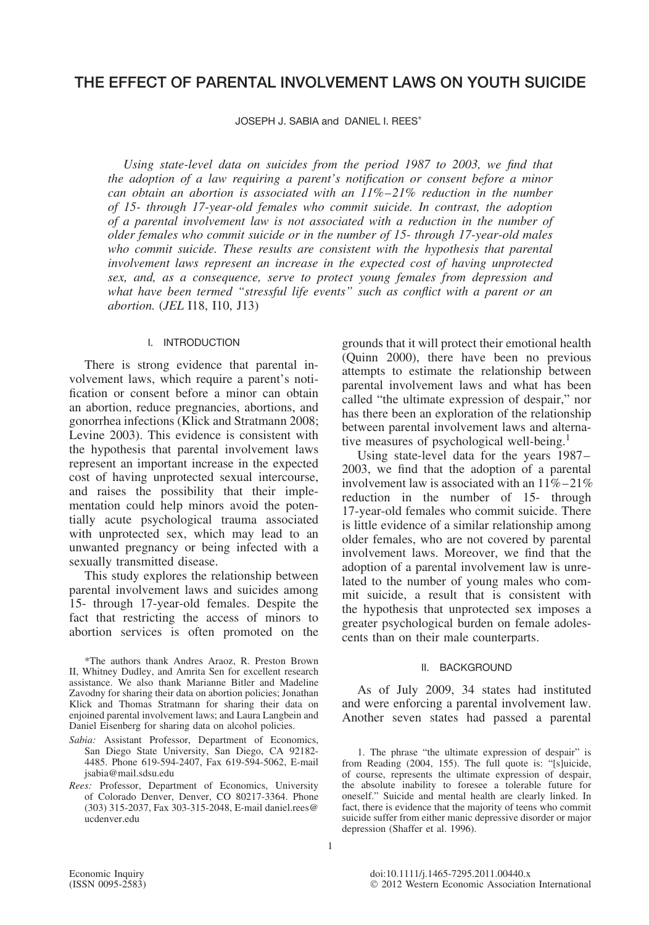# **THE EFFECT OF PARENTAL INVOLVEMENT LAWS ON YOUTH SUICIDE**

JOSEPH J. SABIA and DANIEL I. REES<sup>\*</sup>

*Using state-level data on suicides from the period 1987 to 2003, we find that the adoption of a law requiring a parent's notification or consent before a minor can obtain an abortion is associated with an 11%–21% reduction in the number of 15- through 17-year-old females who commit suicide. In contrast, the adoption of a parental involvement law is not associated with a reduction in the number of older females who commit suicide or in the number of 15- through 17-year-old males who commit suicide. These results are consistent with the hypothesis that parental involvement laws represent an increase in the expected cost of having unprotected sex, and, as a consequence, serve to protect young females from depression and what have been termed "stressful life events" such as conflict with a parent or an abortion.* (*JEL* I18, I10, J13)

## I. INTRODUCTION

There is strong evidence that parental involvement laws, which require a parent's notification or consent before a minor can obtain an abortion, reduce pregnancies, abortions, and gonorrhea infections (Klick and Stratmann 2008; Levine 2003). This evidence is consistent with the hypothesis that parental involvement laws represent an important increase in the expected cost of having unprotected sexual intercourse, and raises the possibility that their implementation could help minors avoid the potentially acute psychological trauma associated with unprotected sex, which may lead to an unwanted pregnancy or being infected with a sexually transmitted disease.

This study explores the relationship between parental involvement laws and suicides among 15- through 17-year-old females. Despite the fact that restricting the access of minors to abortion services is often promoted on the

\*The authors thank Andres Araoz, R. Preston Brown II, Whitney Dudley, and Amrita Sen for excellent research assistance. We also thank Marianne Bitler and Madeline Zavodny for sharing their data on abortion policies; Jonathan Klick and Thomas Stratmann for sharing their data on enjoined parental involvement laws; and Laura Langbein and Daniel Eisenberg for sharing data on alcohol policies.

- *Sabia:* Assistant Professor, Department of Economics, San Diego State University, San Diego, CA 92182- 4485. Phone 619-594-2407, Fax 619-594-5062, E-mail jsabia@mail.sdsu.edu
- *Rees:* Professor, Department of Economics, University of Colorado Denver, Denver, CO 80217-3364. Phone (303) 315-2037, Fax 303-315-2048, E-mail daniel.rees@ ucdenver.edu

grounds that it will protect their emotional health (Quinn 2000), there have been no previous attempts to estimate the relationship between parental involvement laws and what has been called "the ultimate expression of despair," nor has there been an exploration of the relationship between parental involvement laws and alternative measures of psychological well-being.<sup>1</sup>

Using state-level data for the years 1987– 2003, we find that the adoption of a parental involvement law is associated with an  $11\% - 21\%$ reduction in the number of 15- through 17-year-old females who commit suicide. There is little evidence of a similar relationship among older females, who are not covered by parental involvement laws. Moreover, we find that the adoption of a parental involvement law is unrelated to the number of young males who commit suicide, a result that is consistent with the hypothesis that unprotected sex imposes a greater psychological burden on female adolescents than on their male counterparts.

#### II. BACKGROUND

As of July 2009, 34 states had instituted and were enforcing a parental involvement law. Another seven states had passed a parental

<sup>1.</sup> The phrase "the ultimate expression of despair" is from Reading (2004, 155). The full quote is: "[s]uicide, of course, represents the ultimate expression of despair, the absolute inability to foresee a tolerable future for oneself." Suicide and mental health are clearly linked. In fact, there is evidence that the majority of teens who commit suicide suffer from either manic depressive disorder or major depression (Shaffer et al. 1996).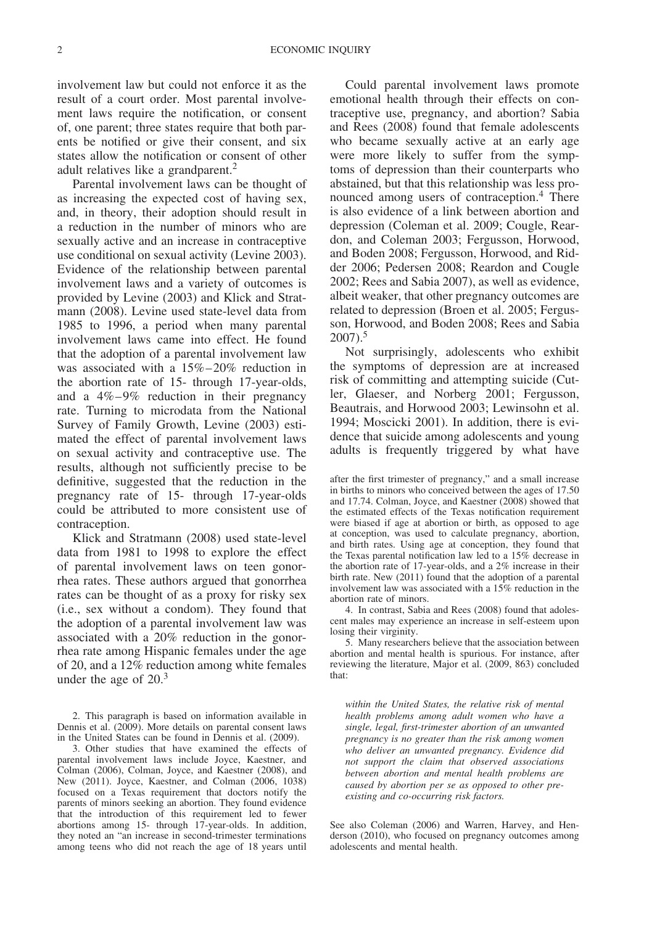involvement law but could not enforce it as the result of a court order. Most parental involvement laws require the notification, or consent of, one parent; three states require that both parents be notified or give their consent, and six states allow the notification or consent of other adult relatives like a grandparent.<sup>2</sup>

Parental involvement laws can be thought of as increasing the expected cost of having sex, and, in theory, their adoption should result in a reduction in the number of minors who are sexually active and an increase in contraceptive use conditional on sexual activity (Levine 2003). Evidence of the relationship between parental involvement laws and a variety of outcomes is provided by Levine (2003) and Klick and Stratmann (2008). Levine used state-level data from 1985 to 1996, a period when many parental involvement laws came into effect. He found that the adoption of a parental involvement law was associated with a 15%–20% reduction in the abortion rate of 15- through 17-year-olds, and a 4%–9% reduction in their pregnancy rate. Turning to microdata from the National Survey of Family Growth, Levine (2003) estimated the effect of parental involvement laws on sexual activity and contraceptive use. The results, although not sufficiently precise to be definitive, suggested that the reduction in the pregnancy rate of 15- through 17-year-olds could be attributed to more consistent use of contraception.

Klick and Stratmann (2008) used state-level data from 1981 to 1998 to explore the effect of parental involvement laws on teen gonorrhea rates. These authors argued that gonorrhea rates can be thought of as a proxy for risky sex (i.e., sex without a condom). They found that the adoption of a parental involvement law was associated with a 20% reduction in the gonorrhea rate among Hispanic females under the age of 20, and a 12% reduction among white females under the age of 20.<sup>3</sup>

2. This paragraph is based on information available in Dennis et al. (2009). More details on parental consent laws in the United States can be found in Dennis et al. (2009).

3. Other studies that have examined the effects of parental involvement laws include Joyce, Kaestner, and Colman (2006), Colman, Joyce, and Kaestner (2008), and New (2011). Joyce, Kaestner, and Colman (2006, 1038) focused on a Texas requirement that doctors notify the parents of minors seeking an abortion. They found evidence that the introduction of this requirement led to fewer abortions among 15- through 17-year-olds. In addition, they noted an "an increase in second-trimester terminations among teens who did not reach the age of 18 years until

Could parental involvement laws promote emotional health through their effects on contraceptive use, pregnancy, and abortion? Sabia and Rees (2008) found that female adolescents who became sexually active at an early age were more likely to suffer from the symptoms of depression than their counterparts who abstained, but that this relationship was less pronounced among users of contraception.<sup>4</sup> There is also evidence of a link between abortion and depression (Coleman et al. 2009; Cougle, Reardon, and Coleman 2003; Fergusson, Horwood, and Boden 2008; Fergusson, Horwood, and Ridder 2006; Pedersen 2008; Reardon and Cougle 2002; Rees and Sabia 2007), as well as evidence, albeit weaker, that other pregnancy outcomes are related to depression (Broen et al. 2005; Fergusson, Horwood, and Boden 2008; Rees and Sabia  $2007$ ).<sup>5</sup>

Not surprisingly, adolescents who exhibit the symptoms of depression are at increased risk of committing and attempting suicide (Cutler, Glaeser, and Norberg 2001; Fergusson, Beautrais, and Horwood 2003; Lewinsohn et al. 1994; Moscicki 2001). In addition, there is evidence that suicide among adolescents and young adults is frequently triggered by what have

after the first trimester of pregnancy," and a small increase in births to minors who conceived between the ages of 17.50 and 17.74. Colman, Joyce, and Kaestner (2008) showed that the estimated effects of the Texas notification requirement were biased if age at abortion or birth, as opposed to age at conception, was used to calculate pregnancy, abortion, and birth rates. Using age at conception, they found that the Texas parental notification law led to a 15% decrease in the abortion rate of 17-year-olds, and a 2% increase in their birth rate. New (2011) found that the adoption of a parental involvement law was associated with a 15% reduction in the abortion rate of minors.

4. In contrast, Sabia and Rees (2008) found that adolescent males may experience an increase in self-esteem upon losing their virginity.

5. Many researchers believe that the association between abortion and mental health is spurious. For instance, after reviewing the literature, Major et al. (2009, 863) concluded that:

*within the United States, the relative risk of mental health problems among adult women who have a single, legal, first-trimester abortion of an unwanted pregnancy is no greater than the risk among women who deliver an unwanted pregnancy. Evidence did not support the claim that observed associations between abortion and mental health problems are caused by abortion per se as opposed to other preexisting and co-occurring risk factors.*

See also Coleman (2006) and Warren, Harvey, and Henderson (2010), who focused on pregnancy outcomes among adolescents and mental health.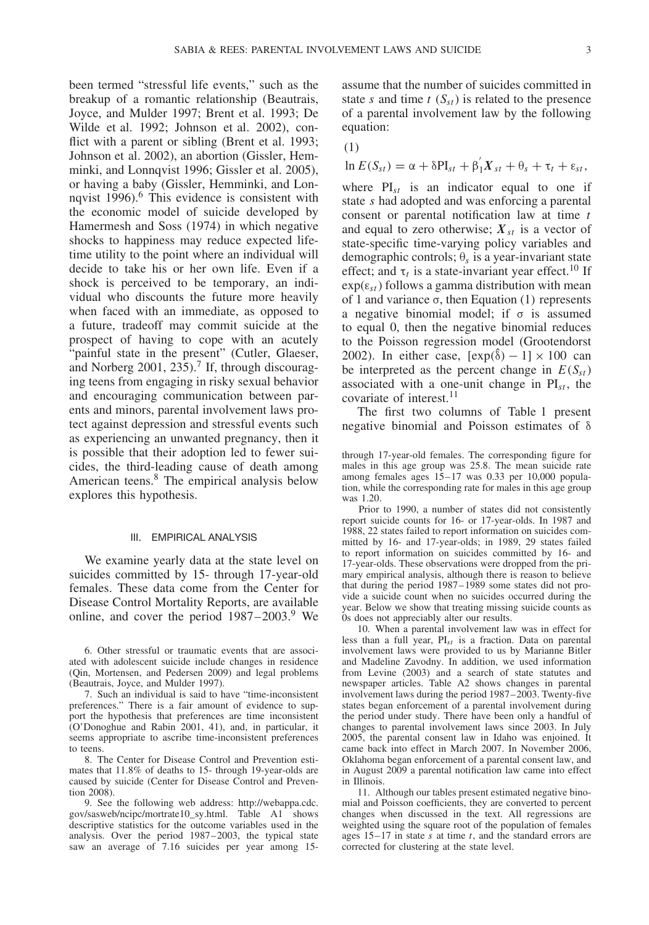been termed "stressful life events," such as the breakup of a romantic relationship (Beautrais, Joyce, and Mulder 1997; Brent et al. 1993; De Wilde et al. 1992; Johnson et al. 2002), conflict with a parent or sibling (Brent et al. 1993; Johnson et al. 2002), an abortion (Gissler, Hemminki, and Lonnqvist 1996; Gissler et al. 2005), or having a baby (Gissler, Hemminki, and Lonnqvist  $1996$ .<sup>6</sup> This evidence is consistent with the economic model of suicide developed by Hamermesh and Soss (1974) in which negative shocks to happiness may reduce expected lifetime utility to the point where an individual will decide to take his or her own life. Even if a shock is perceived to be temporary, an individual who discounts the future more heavily when faced with an immediate, as opposed to a future, tradeoff may commit suicide at the prospect of having to cope with an acutely "painful state in the present" (Cutler, Glaeser, and Norberg 2001, 235).<sup>7</sup> If, through discouraging teens from engaging in risky sexual behavior and encouraging communication between parents and minors, parental involvement laws protect against depression and stressful events such as experiencing an unwanted pregnancy, then it is possible that their adoption led to fewer suicides, the third-leading cause of death among American teens.<sup>8</sup> The empirical analysis below explores this hypothesis.

# III. EMPIRICAL ANALYSIS

We examine yearly data at the state level on suicides committed by 15- through 17-year-old females. These data come from the Center for Disease Control Mortality Reports, are available online, and cover the period  $1987-2003$ .<sup>9</sup> We

7. Such an individual is said to have "time-inconsistent preferences." There is a fair amount of evidence to support the hypothesis that preferences are time inconsistent (O'Donoghue and Rabin 2001, 41), and, in particular, it seems appropriate to ascribe time-inconsistent preferences to teens.

8. The Center for Disease Control and Prevention estimates that 11.8% of deaths to 15- through 19-year-olds are caused by suicide (Center for Disease Control and Prevention 2008).

9. See the following web address: http://webappa.cdc. gov/sasweb/ncipc/mortrate10\_sy.html. Table A1 shows descriptive statistics for the outcome variables used in the analysis. Over the period 1987–2003, the typical state saw an average of 7.16 suicides per year among 15assume that the number of suicides committed in state *s* and time  $t(S_{st})$  is related to the presence of a parental involvement law by the following equation:

$$
(1)
$$

$$
\ln E(S_{st}) = \alpha + \delta PI_{st} + \beta_1' X_{st} + \theta_s + \tau_t + \varepsilon_{st},
$$

where  $PI_{st}$  is an indicator equal to one if state *s* had adopted and was enforcing a parental consent or parental notification law at time *t* and equal to zero otherwise;  $X_{st}$  is a vector of state-specific time-varying policy variables and demographic controls; θ*<sup>s</sup>* is a year-invariant state effect; and  $\tau_t$  is a state-invariant year effect.<sup>10</sup> If  $exp(\varepsilon_{st})$  follows a gamma distribution with mean of 1 and variance σ, then Equation (1) represents a negative binomial model; if  $\sigma$  is assumed to equal 0, then the negative binomial reduces to the Poisson regression model (Grootendorst 2002). In either case,  $[\exp(\hat{\delta}) - 1] \times 100$  can be interpreted as the percent change in  $E(S_{st})$ associated with a one-unit change in  $PI<sub>st</sub>$ , the covariate of interest. $^{11}$ 

The first two columns of Table 1 present negative binomial and Poisson estimates of δ

through 17-year-old females. The corresponding figure for males in this age group was 25.8. The mean suicide rate among females ages 15–17 was 0.33 per 10,000 population, while the corresponding rate for males in this age group was 1.20.

Prior to 1990, a number of states did not consistently report suicide counts for 16- or 17-year-olds. In 1987 and 1988, 22 states failed to report information on suicides committed by 16- and 17-year-olds; in 1989, 29 states failed to report information on suicides committed by 16- and 17-year-olds. These observations were dropped from the primary empirical analysis, although there is reason to believe that during the period 1987–1989 some states did not provide a suicide count when no suicides occurred during the year. Below we show that treating missing suicide counts as 0s does not appreciably alter our results.

10. When a parental involvement law was in effect for less than a full year, PI*st* is a fraction. Data on parental involvement laws were provided to us by Marianne Bitler and Madeline Zavodny. In addition, we used information from Levine (2003) and a search of state statutes and newspaper articles. Table A2 shows changes in parental involvement laws during the period 1987–2003. Twenty-five states began enforcement of a parental involvement during the period under study. There have been only a handful of changes to parental involvement laws since 2003. In July 2005, the parental consent law in Idaho was enjoined. It came back into effect in March 2007. In November 2006, Oklahoma began enforcement of a parental consent law, and in August 2009 a parental notification law came into effect in Illinois.

11. Although our tables present estimated negative binomial and Poisson coefficients, they are converted to percent changes when discussed in the text. All regressions are weighted using the square root of the population of females ages 15–17 in state *s* at time *t*, and the standard errors are corrected for clustering at the state level.

<sup>6.</sup> Other stressful or traumatic events that are associated with adolescent suicide include changes in residence (Qin, Mortensen, and Pedersen 2009) and legal problems (Beautrais, Joyce, and Mulder 1997).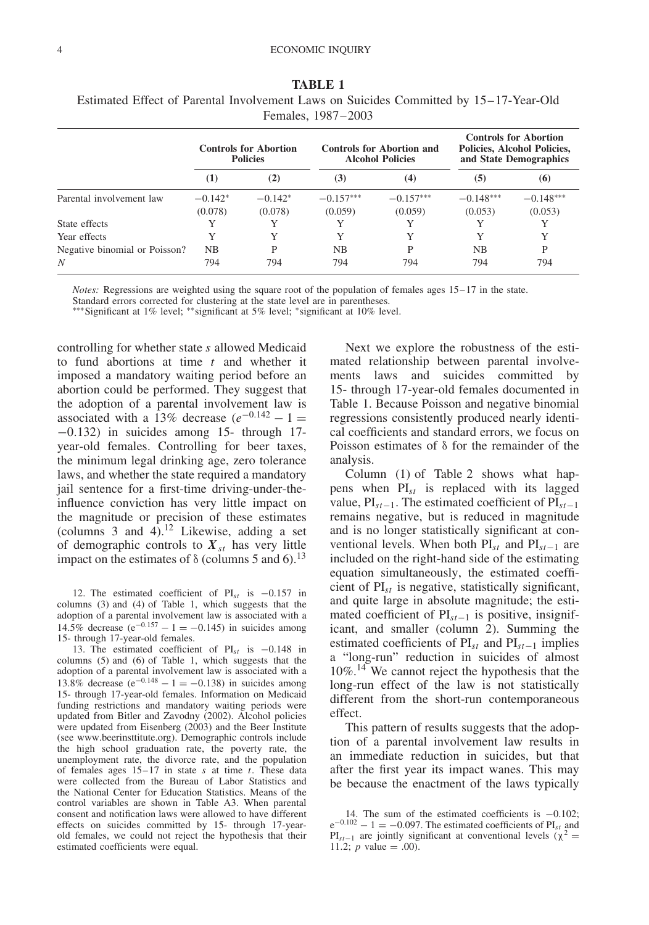|                               |                  | <b>Controls for Abortion</b><br><b>Policies</b> |             | Controls for Abortion and<br><b>Alcohol Policies</b> |             | <b>Controls for Abortion</b><br>Policies, Alcohol Policies,<br>and State Demographics |
|-------------------------------|------------------|-------------------------------------------------|-------------|------------------------------------------------------|-------------|---------------------------------------------------------------------------------------|
|                               | $\left(1\right)$ | (2)                                             | (3)         | (4)                                                  | (5)         | (6)                                                                                   |
| Parental involvement law      | $-0.142*$        | $-0.142*$                                       | $-0.157***$ | $-0.157***$                                          | $-0.148***$ | $-0.148***$                                                                           |
|                               | (0.078)          | (0.078)                                         | (0.059)     | (0.059)                                              | (0.053)     | (0.053)                                                                               |
| State effects                 |                  |                                                 | Y           |                                                      | Y           |                                                                                       |
| Year effects                  | Y                |                                                 | Y           | Y                                                    | Y           | Y                                                                                     |
| Negative binomial or Poisson? | NB.              | P                                               | <b>NB</b>   | P                                                    | NB.         | P                                                                                     |
| N                             | 794              | 794                                             | 794         | 794                                                  | 794         | 794                                                                                   |

**TABLE 1** Estimated Effect of Parental Involvement Laws on Suicides Committed by 15–17-Year-Old Females, 1987–2003

*Notes:* Regressions are weighted using the square root of the population of females ages 15–17 in the state. Standard errors corrected for clustering at the state level are in parentheses.

∗∗∗Significant at 1% level; ∗∗significant at 5% level; ∗significant at 10% level.

controlling for whether state *s* allowed Medicaid to fund abortions at time *t* and whether it imposed a mandatory waiting period before an abortion could be performed. They suggest that the adoption of a parental involvement law is associated with a 13% decrease  $(e^{-0.142} - 1)$ −0*.*132) in suicides among 15- through 17 year-old females. Controlling for beer taxes, the minimum legal drinking age, zero tolerance laws, and whether the state required a mandatory jail sentence for a first-time driving-under-theinfluence conviction has very little impact on the magnitude or precision of these estimates (columns  $3$  and  $4$ ).<sup>12</sup> Likewise, adding a set of demographic controls to  $X_{st}$  has very little impact on the estimates of δ (columns 5 and 6).<sup>13</sup>

12. The estimated coefficient of PI*st* is −0.157 in columns (3) and (4) of Table 1, which suggests that the adoption of a parental involvement law is associated with a 14.5% decrease ( $e^{-0.157} - 1 = -0.145$ ) in suicides among 15- through 17-year-old females.

13. The estimated coefficient of PI*st* is −0.148 in columns (5) and (6) of Table 1, which suggests that the adoption of a parental involvement law is associated with a 13.8% decrease ( $e^{-0.148} - 1 = -0.138$ ) in suicides among 15- through 17-year-old females. Information on Medicaid funding restrictions and mandatory waiting periods were updated from Bitler and Zavodny (2002). Alcohol policies were updated from Eisenberg (2003) and the Beer Institute (see www.beerinsttitute.org). Demographic controls include the high school graduation rate, the poverty rate, the unemployment rate, the divorce rate, and the population of females ages 15–17 in state *s* at time *t*. These data were collected from the Bureau of Labor Statistics and the National Center for Education Statistics. Means of the control variables are shown in Table A3. When parental consent and notification laws were allowed to have different effects on suicides committed by 15- through 17-yearold females, we could not reject the hypothesis that their estimated coefficients were equal.

Next we explore the robustness of the estimated relationship between parental involvements laws and suicides committed by 15- through 17-year-old females documented in Table 1. Because Poisson and negative binomial regressions consistently produced nearly identical coefficients and standard errors, we focus on Poisson estimates of δ for the remainder of the analysis.

Column (1) of Table 2 shows what happens when PI*st* is replaced with its lagged value, PI*st*−1. The estimated coefficient of PI*st*−<sup>1</sup> remains negative, but is reduced in magnitude and is no longer statistically significant at conventional levels. When both PI*st* and PI*st*−<sup>1</sup> are included on the right-hand side of the estimating equation simultaneously, the estimated coefficient of PI*st* is negative, statistically significant, and quite large in absolute magnitude; the estimated coefficient of PI*st*−<sup>1</sup> is positive, insignificant, and smaller (column 2). Summing the estimated coefficients of PI*st* and PI*st*−<sup>1</sup> implies a "long-run" reduction in suicides of almost 10%.<sup>14</sup> We cannot reject the hypothesis that the long-run effect of the law is not statistically different from the short-run contemporaneous effect.

This pattern of results suggests that the adoption of a parental involvement law results in an immediate reduction in suicides, but that after the first year its impact wanes. This may be because the enactment of the laws typically

<sup>14.</sup> The sum of the estimated coefficients is −0.102;  $e^{-0.102} - 1 = -0.097$ . The estimated coefficients of PI<sub>st</sub> and PI<sub>st</sub><sup>−1</sup> are jointly significant at conventional levels ( $\chi^2$  = 11.2; *p* value = .00).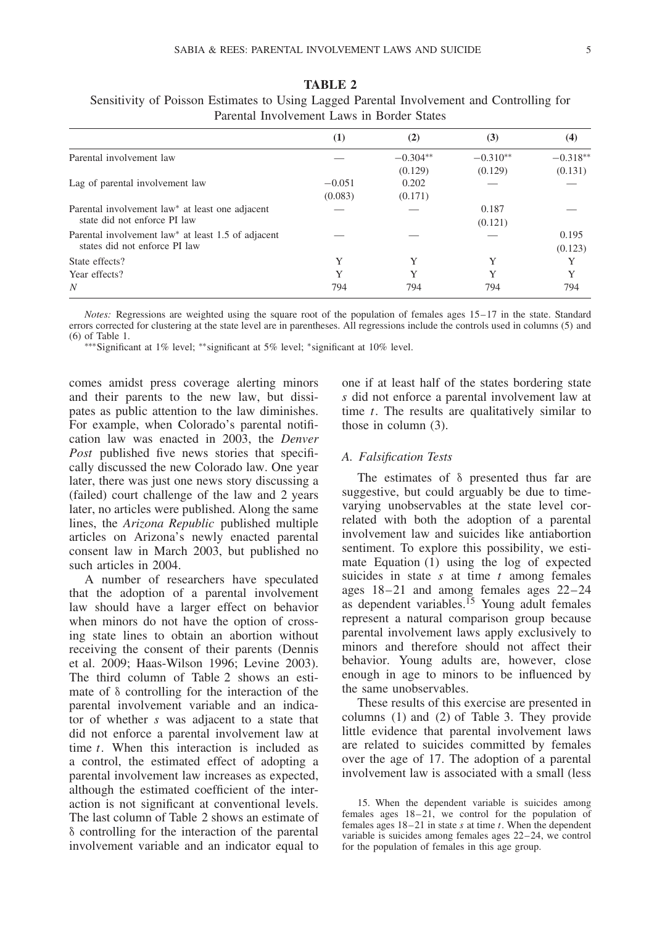| T AUGHLAF HIVOIVGHIGHE LAWS III DOIUGE OLAIGS                                               |                     |                       |                       |                       |
|---------------------------------------------------------------------------------------------|---------------------|-----------------------|-----------------------|-----------------------|
|                                                                                             | $\rm _{(1)}$        | (2)                   | (3)                   | (4)                   |
| Parental involvement law                                                                    |                     | $-0.304**$<br>(0.129) | $-0.310**$<br>(0.129) | $-0.318**$<br>(0.131) |
| Lag of parental involvement law                                                             | $-0.051$<br>(0.083) | 0.202<br>(0.171)      |                       |                       |
| Parental involvement law <sup>*</sup> at least one adjacent<br>state did not enforce PI law |                     |                       | 0.187<br>(0.121)      |                       |
| Parental involvement law* at least 1.5 of adjacent<br>states did not enforce PI law         |                     |                       |                       | 0.195<br>(0.123)      |
| State effects?                                                                              | Y                   |                       |                       |                       |

**TABLE 2** Sensitivity of Poisson Estimates to Using Lagged Parental Involvement and Controlling for Parental Involvement Laws in Border States

Year effects? The Metal Second Second Second Second Second Second Second Second Second Second Second Second Second Second Second Second Second Second Second Second Second Second Second Second Second Second Second Second Se *N* 794 794 794 794

∗∗∗Significant at 1% level; ∗∗significant at 5% level; ∗significant at 10% level.

comes amidst press coverage alerting minors and their parents to the new law, but dissipates as public attention to the law diminishes. For example, when Colorado's parental notification law was enacted in 2003, the *Denver Post* published five news stories that specifically discussed the new Colorado law. One year later, there was just one news story discussing a (failed) court challenge of the law and 2 years later, no articles were published. Along the same lines, the *Arizona Republic* published multiple articles on Arizona's newly enacted parental consent law in March 2003, but published no such articles in 2004.

A number of researchers have speculated that the adoption of a parental involvement law should have a larger effect on behavior when minors do not have the option of crossing state lines to obtain an abortion without receiving the consent of their parents (Dennis et al. 2009; Haas-Wilson 1996; Levine 2003). The third column of Table 2 shows an estimate of δ controlling for the interaction of the parental involvement variable and an indicator of whether *s* was adjacent to a state that did not enforce a parental involvement law at time *t*. When this interaction is included as a control, the estimated effect of adopting a parental involvement law increases as expected, although the estimated coefficient of the interaction is not significant at conventional levels. The last column of Table 2 shows an estimate of δ controlling for the interaction of the parental involvement variable and an indicator equal to one if at least half of the states bordering state *s* did not enforce a parental involvement law at time *t*. The results are qualitatively similar to those in column (3).

#### *A. Falsification Tests*

The estimates of δ presented thus far are suggestive, but could arguably be due to timevarying unobservables at the state level correlated with both the adoption of a parental involvement law and suicides like antiabortion sentiment. To explore this possibility, we estimate Equation (1) using the log of expected suicides in state *s* at time *t* among females ages 18–21 and among females ages 22–24 as dependent variables.<sup>15</sup> Young adult females represent a natural comparison group because parental involvement laws apply exclusively to minors and therefore should not affect their behavior. Young adults are, however, close enough in age to minors to be influenced by the same unobservables.

These results of this exercise are presented in columns (1) and (2) of Table 3. They provide little evidence that parental involvement laws are related to suicides committed by females over the age of 17. The adoption of a parental involvement law is associated with a small (less

<sup>15.</sup> When the dependent variable is suicides among females ages 18–21, we control for the population of females ages 18–21 in state *s* at time *t*. When the dependent variable is suicides among females ages 22–24, we control for the population of females in this age group.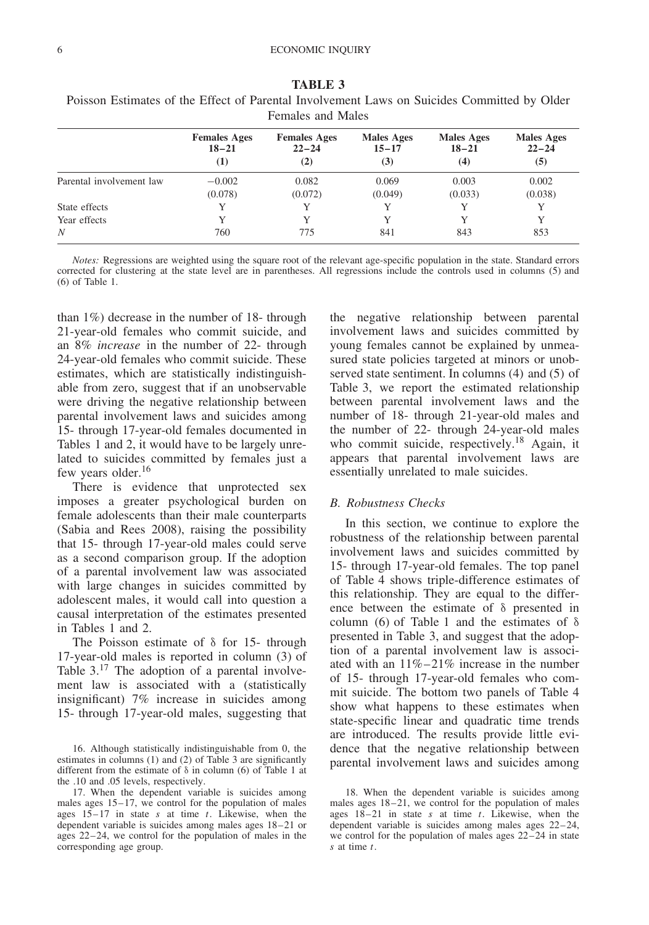|                          | <b>Females Ages</b>           | <b>Females Ages</b> | <b>Males Ages</b> | <b>Males Ages</b> | <b>Males Ages</b> |
|--------------------------|-------------------------------|---------------------|-------------------|-------------------|-------------------|
|                          | $18 - 21$<br>$\left(1\right)$ | $22 - 24$<br>(2)    | $15 - 17$<br>(3)  | $18 - 21$<br>(4)  | $22 - 24$<br>(5)  |
| Parental involvement law | $-0.002$<br>(0.078)           | 0.082<br>(0.072)    | 0.069<br>(0.049)  | 0.003<br>(0.033)  | 0.002<br>(0.038)  |
| State effects            |                               |                     |                   | Y                 |                   |
| Year effects             |                               |                     |                   | Y                 | Y                 |
| N                        | 760                           | 775                 | 841               | 843               | 853               |

**TABLE 3** Poisson Estimates of the Effect of Parental Involvement Laws on Suicides Committed by Older Females and Males

than 1%) decrease in the number of 18- through 21-year-old females who commit suicide, and an 8% *increase* in the number of 22- through 24-year-old females who commit suicide. These estimates, which are statistically indistinguishable from zero, suggest that if an unobservable were driving the negative relationship between parental involvement laws and suicides among 15- through 17-year-old females documented in Tables 1 and 2, it would have to be largely unrelated to suicides committed by females just a few years older.<sup>16</sup>

There is evidence that unprotected sex imposes a greater psychological burden on female adolescents than their male counterparts (Sabia and Rees 2008), raising the possibility that 15- through 17-year-old males could serve as a second comparison group. If the adoption of a parental involvement law was associated with large changes in suicides committed by adolescent males, it would call into question a causal interpretation of the estimates presented in Tables 1 and 2.

The Poisson estimate of δ for 15- through 17-year-old males is reported in column (3) of Table  $3.17$  The adoption of a parental involvement law is associated with a (statistically insignificant) 7% increase in suicides among 15- through 17-year-old males, suggesting that

the negative relationship between parental involvement laws and suicides committed by young females cannot be explained by unmeasured state policies targeted at minors or unobserved state sentiment. In columns (4) and (5) of Table 3, we report the estimated relationship between parental involvement laws and the number of 18- through 21-year-old males and the number of 22- through 24-year-old males who commit suicide, respectively.<sup>18</sup> Again, it appears that parental involvement laws are essentially unrelated to male suicides.

## *B. Robustness Checks*

In this section, we continue to explore the robustness of the relationship between parental involvement laws and suicides committed by 15- through 17-year-old females. The top panel of Table 4 shows triple-difference estimates of this relationship. They are equal to the difference between the estimate of δ presented in column (6) of Table 1 and the estimates of  $\delta$ presented in Table 3, and suggest that the adoption of a parental involvement law is associated with an 11%–21% increase in the number of 15- through 17-year-old females who commit suicide. The bottom two panels of Table 4 show what happens to these estimates when state-specific linear and quadratic time trends are introduced. The results provide little evidence that the negative relationship between parental involvement laws and suicides among

<sup>16.</sup> Although statistically indistinguishable from 0, the estimates in columns (1) and (2) of Table 3 are significantly different from the estimate of δ in column (6) of Table 1 at the .10 and .05 levels, respectively.

<sup>17.</sup> When the dependent variable is suicides among males ages 15–17, we control for the population of males ages 15–17 in state *s* at time *t*. Likewise, when the dependent variable is suicides among males ages 18–21 or ages 22–24, we control for the population of males in the corresponding age group.

<sup>18.</sup> When the dependent variable is suicides among males ages 18–21, we control for the population of males ages 18–21 in state *s* at time *t*. Likewise, when the dependent variable is suicides among males ages 22–24, we control for the population of males ages 22–24 in state *s* at time *t*.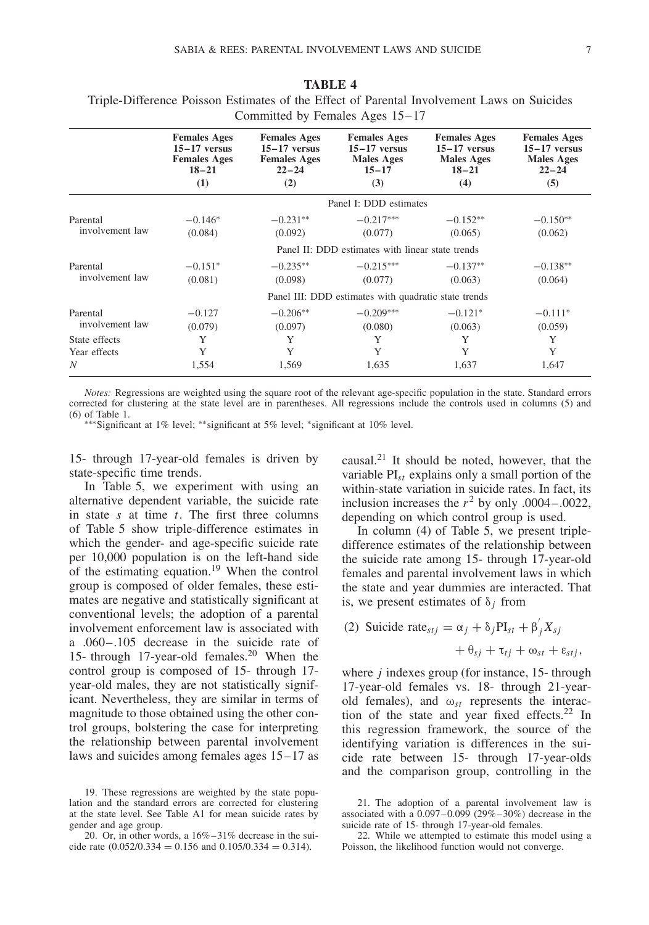|                             |                                                                                  | COMMITTEE by Femancs $\pi$ ges $15 - 17$                                         |                                                                                |                                                                                |                                                                                |
|-----------------------------|----------------------------------------------------------------------------------|----------------------------------------------------------------------------------|--------------------------------------------------------------------------------|--------------------------------------------------------------------------------|--------------------------------------------------------------------------------|
|                             | <b>Females Ages</b><br>$15-17$ versus<br><b>Females Ages</b><br>$18 - 21$<br>(1) | <b>Females Ages</b><br>$15-17$ versus<br><b>Females Ages</b><br>$22 - 24$<br>(2) | <b>Females Ages</b><br>$15-17$ versus<br><b>Males Ages</b><br>$15 - 17$<br>(3) | <b>Females Ages</b><br>$15-17$ versus<br><b>Males Ages</b><br>$18 - 21$<br>(4) | <b>Females Ages</b><br>$15-17$ versus<br><b>Males Ages</b><br>$22 - 24$<br>(5) |
|                             |                                                                                  |                                                                                  | Panel I: DDD estimates                                                         |                                                                                |                                                                                |
| Parental<br>involvement law | $-0.146*$<br>(0.084)                                                             | $-0.231**$<br>(0.092)                                                            | $-0.217***$<br>(0.077)                                                         | $-0.152**$<br>(0.065)                                                          | $-0.150**$<br>(0.062)                                                          |
|                             |                                                                                  |                                                                                  | Panel II: DDD estimates with linear state trends                               |                                                                                |                                                                                |
| Parental<br>involvement law | $-0.151*$<br>(0.081)                                                             | $-0.235**$<br>(0.098)                                                            | $-0.215***$<br>(0.077)                                                         | $-0.137**$<br>(0.063)                                                          | $-0.138**$<br>(0.064)                                                          |
|                             |                                                                                  |                                                                                  | Panel III: DDD estimates with quadratic state trends                           |                                                                                |                                                                                |
| Parental<br>involvement law | $-0.127$<br>(0.079)                                                              | $-0.206**$<br>(0.097)                                                            | $-0.209***$<br>(0.080)                                                         | $-0.121*$<br>(0.063)                                                           | $-0.111*$<br>(0.059)                                                           |
| State effects               | Y                                                                                | Y                                                                                | Y                                                                              | Y                                                                              | Y                                                                              |
| Year effects                | Y                                                                                | Y                                                                                | Y                                                                              | Y                                                                              | Y                                                                              |
| N                           | 1,554                                                                            | 1,569                                                                            | 1,635                                                                          | 1,637                                                                          | 1,647                                                                          |

**TABLE 4** Triple-Difference Poisson Estimates of the Effect of Parental Involvement Laws on Suicides Committed by Females Ages 15–17

∗∗∗Significant at 1% level; ∗∗significant at 5% level; ∗significant at 10% level.

15- through 17-year-old females is driven by state-specific time trends.

In Table 5, we experiment with using an alternative dependent variable, the suicide rate in state *s* at time *t*. The first three columns of Table 5 show triple-difference estimates in which the gender- and age-specific suicide rate per 10,000 population is on the left-hand side of the estimating equation.<sup>19</sup> When the control group is composed of older females, these estimates are negative and statistically significant at conventional levels; the adoption of a parental involvement enforcement law is associated with a .060–.105 decrease in the suicide rate of 15- through 17-year-old females.<sup>20</sup> When the control group is composed of 15- through 17 year-old males, they are not statistically significant. Nevertheless, they are similar in terms of magnitude to those obtained using the other control groups, bolstering the case for interpreting the relationship between parental involvement laws and suicides among females ages 15–17 as causal. $^{21}$  It should be noted, however, that the variable PI*st* explains only a small portion of the within-state variation in suicide rates. In fact, its inclusion increases the  $r^2$  by only .0004–.0022, depending on which control group is used.

In column (4) of Table 5, we present tripledifference estimates of the relationship between the suicide rate among 15- through 17-year-old females and parental involvement laws in which the state and year dummies are interacted. That is, we present estimates of  $\delta_i$  from

(2) **Suicide rate**<sub>*stj*</sub> = 
$$
\alpha_j + \delta_j PI_{st} + \beta'_j X_{sj}
$$
  
+  $\theta_{sj} + \tau_{tj} + \omega_{st} + \epsilon_{stj}$ ,

where *j* indexes group (for instance, 15- through 17-year-old females vs. 18- through 21-yearold females), and  $\omega_{st}$  represents the interaction of the state and year fixed effects.<sup>22</sup> In this regression framework, the source of the identifying variation is differences in the suicide rate between 15- through 17-year-olds and the comparison group, controlling in the

<sup>19.</sup> These regressions are weighted by the state population and the standard errors are corrected for clustering at the state level. See Table A1 for mean suicide rates by gender and age group.

<sup>20.</sup> Or, in other words, a 16%–31% decrease in the suicide rate  $(0.052/0.334 = 0.156$  and  $0.105/0.334 = 0.314$ .

<sup>21.</sup> The adoption of a parental involvement law is associated with a  $0.097-0.099(29\% - 30\%)$  decrease in the suicide rate of 15- through 17-year-old females.

<sup>22.</sup> While we attempted to estimate this model using a Poisson, the likelihood function would not converge.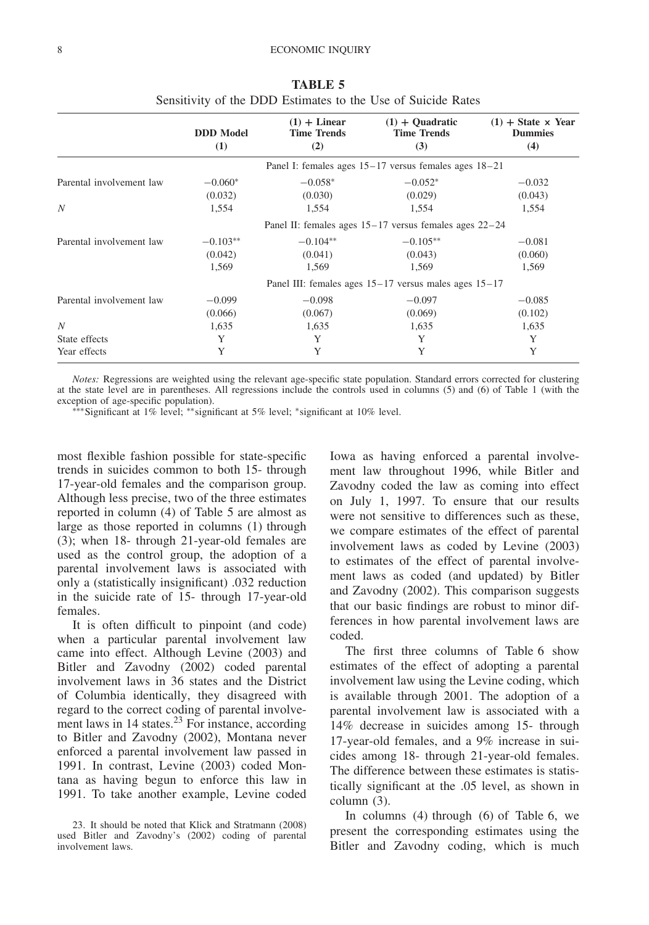|                          |                         | $(1) + Linear$            | $(1) + Quadratic$                                          | $(1)$ + State $\times$ Year |
|--------------------------|-------------------------|---------------------------|------------------------------------------------------------|-----------------------------|
|                          | <b>DDD</b> Model<br>(1) | <b>Time Trends</b><br>(2) | <b>Time Trends</b><br>(3)                                  | <b>Dummies</b><br>(4)       |
|                          |                         |                           | Panel I: females ages $15-17$ versus females ages $18-21$  |                             |
| Parental involvement law | $-0.060*$               | $-0.058*$                 | $-0.052*$                                                  | $-0.032$                    |
|                          | (0.032)                 | (0.030)                   | (0.029)                                                    | (0.043)                     |
| N                        | 1,554                   | 1,554                     | 1,554                                                      | 1,554                       |
|                          |                         |                           | Panel II: females ages $15-17$ versus females ages $22-24$ |                             |
| Parental involvement law | $-0.103**$              | $-0.104**$                | $-0.105**$                                                 | $-0.081$                    |
|                          | (0.042)                 | (0.041)                   | (0.043)                                                    | (0.060)                     |
|                          | 1,569                   | 1,569                     | 1,569                                                      | 1,569                       |
|                          |                         |                           | Panel III: females ages $15-17$ versus males ages $15-17$  |                             |
| Parental involvement law | $-0.099$                | $-0.098$                  | $-0.097$                                                   | $-0.085$                    |
|                          | (0.066)                 | (0.067)                   | (0.069)                                                    | (0.102)                     |
| N                        | 1,635                   | 1,635                     | 1,635                                                      | 1,635                       |
| State effects            | Y                       | Y                         | Y                                                          | Y                           |
| Year effects             | Y                       | Y                         | Y                                                          | Y                           |

**TABLE 5** Sensitivity of the DDD Estimates to the Use of Suicide Rates

*Notes:* Regressions are weighted using the relevant age-specific state population. Standard errors corrected for clustering at the state level are in parentheses. All regressions include the controls used in columns (5) and (6) of Table 1 (with the exception of age-specific population).

∗∗∗Significant at 1% level; ∗∗significant at 5% level; ∗significant at 10% level.

most flexible fashion possible for state-specific trends in suicides common to both 15- through 17-year-old females and the comparison group. Although less precise, two of the three estimates reported in column (4) of Table 5 are almost as large as those reported in columns (1) through (3); when 18- through 21-year-old females are used as the control group, the adoption of a parental involvement laws is associated with only a (statistically insignificant) .032 reduction in the suicide rate of 15- through 17-year-old females.

It is often difficult to pinpoint (and code) when a particular parental involvement law came into effect. Although Levine (2003) and Bitler and Zavodny (2002) coded parental involvement laws in 36 states and the District of Columbia identically, they disagreed with regard to the correct coding of parental involvement laws in  $14$  states.<sup>23</sup> For instance, according to Bitler and Zavodny (2002), Montana never enforced a parental involvement law passed in 1991. In contrast, Levine (2003) coded Montana as having begun to enforce this law in 1991. To take another example, Levine coded

Iowa as having enforced a parental involvement law throughout 1996, while Bitler and Zavodny coded the law as coming into effect on July 1, 1997. To ensure that our results were not sensitive to differences such as these, we compare estimates of the effect of parental involvement laws as coded by Levine (2003) to estimates of the effect of parental involvement laws as coded (and updated) by Bitler and Zavodny (2002). This comparison suggests that our basic findings are robust to minor differences in how parental involvement laws are coded.

The first three columns of Table 6 show estimates of the effect of adopting a parental involvement law using the Levine coding, which is available through 2001. The adoption of a parental involvement law is associated with a 14% decrease in suicides among 15- through 17-year-old females, and a 9% increase in suicides among 18- through 21-year-old females. The difference between these estimates is statistically significant at the .05 level, as shown in column (3).

In columns (4) through (6) of Table 6, we present the corresponding estimates using the Bitler and Zavodny coding, which is much

<sup>23.</sup> It should be noted that Klick and Stratmann (2008) used Bitler and Zavodny's (2002) coding of parental involvement laws.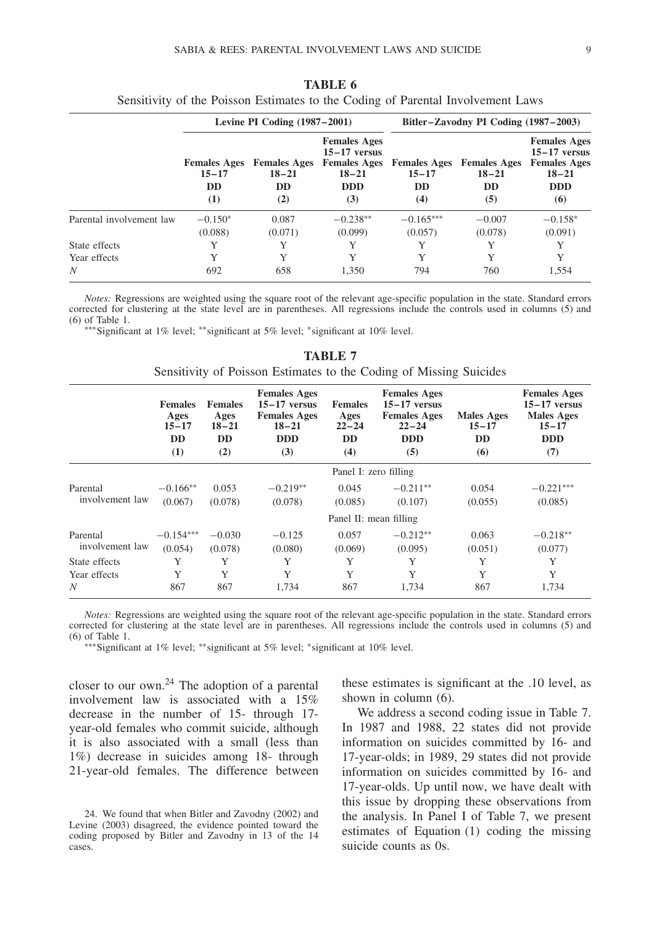|                          |                                                      | Levine PI Coding $(1987-2001)$                       |                                                                                                |                               | Bitler-Zavodny PI Coding (1987–2003)                              |                                                                                                |
|--------------------------|------------------------------------------------------|------------------------------------------------------|------------------------------------------------------------------------------------------------|-------------------------------|-------------------------------------------------------------------|------------------------------------------------------------------------------------------------|
|                          | <b>Females Ages</b><br>$15 - 17$<br><b>DD</b><br>(1) | <b>Females Ages</b><br>$18 - 21$<br><b>DD</b><br>(2) | <b>Females Ages</b><br>$15-17$ versus<br><b>Females Ages</b><br>$18 - 21$<br><b>DDD</b><br>(3) | $15 - 17$<br><b>DD</b><br>(4) | <b>Females Ages</b> Females Ages<br>$18 - 21$<br><b>DD</b><br>(5) | <b>Females Ages</b><br>$15-17$ versus<br><b>Females Ages</b><br>$18 - 21$<br><b>DDD</b><br>(6) |
| Parental involvement law | $-0.150*$                                            | 0.087                                                | $-0.238**$                                                                                     | $-0.165***$                   | $-0.007$                                                          | $-0.158*$                                                                                      |
|                          | (0.088)                                              | (0.071)                                              | (0.099)                                                                                        | (0.057)                       | (0.078)                                                           | (0.091)                                                                                        |
| State effects            | Y                                                    | Y                                                    | Y                                                                                              | Y                             | Y                                                                 | Y                                                                                              |
| Year effects             | Y                                                    | Y                                                    | Y                                                                                              | Y                             | Y                                                                 | Y                                                                                              |
| N                        | 692                                                  | 658                                                  | 1.350                                                                                          | 794                           | 760                                                               | 1.554                                                                                          |

**TABLE 6** Sensitivity of the Poisson Estimates to the Coding of Parental Involvement Laws

∗∗∗Significant at 1% level; ∗∗significant at 5% level; ∗significant at 10% level.

|                             | <b>Females</b><br>Ages<br>$15 - 17$<br><b>DD</b><br>(1) | <b>Females</b><br>Ages<br>$18 - 21$<br><b>DD</b><br>(2) | <b>Females Ages</b><br>$15-17$ versus<br><b>Females Ages</b><br>$18 - 21$<br><b>DDD</b><br>(3) | <b>Females</b><br>Ages<br>$22 - 24$<br><b>DD</b><br>(4) | <b>Females Ages</b><br>$15-17$ versus<br><b>Females Ages</b><br>$22 - 24$<br><b>DDD</b><br>(5) | Males Ages<br>$15 - 17$<br><b>DD</b><br>(6) | <b>Females Ages</b><br>$15-17$ versus<br><b>Males</b> Ages<br>$15 - 17$<br><b>DDD</b><br>(7) |
|-----------------------------|---------------------------------------------------------|---------------------------------------------------------|------------------------------------------------------------------------------------------------|---------------------------------------------------------|------------------------------------------------------------------------------------------------|---------------------------------------------|----------------------------------------------------------------------------------------------|
|                             |                                                         |                                                         |                                                                                                | Panel I: zero filling                                   |                                                                                                |                                             |                                                                                              |
| Parental<br>involvement law | $-0.166**$<br>(0.067)                                   | 0.053<br>(0.078)                                        | $-0.219**$<br>(0.078)                                                                          | 0.045<br>(0.085)                                        | $-0.211**$<br>(0.107)                                                                          | 0.054<br>(0.055)                            | $-0.221***$<br>(0.085)                                                                       |
|                             |                                                         |                                                         |                                                                                                | Panel II: mean filling                                  |                                                                                                |                                             |                                                                                              |
| Parental<br>involvement law | $-0.154***$<br>(0.054)                                  | $-0.030$<br>(0.078)                                     | $-0.125$<br>(0.080)                                                                            | 0.057<br>(0.069)                                        | $-0.212**$<br>(0.095)                                                                          | 0.063<br>(0.051)                            | $-0.218**$<br>(0.077)                                                                        |
| State effects               | Y                                                       | Y                                                       | Y                                                                                              | Y                                                       | Y                                                                                              | Y                                           | Y                                                                                            |
| Year effects<br>N           | Y<br>867                                                | Y<br>867                                                | Y<br>1,734                                                                                     | Y<br>867                                                | Y<br>1,734                                                                                     | Y<br>867                                    | Y<br>1,734                                                                                   |

**TABLE 7**

*Notes:* Regressions are weighted using the square root of the relevant age-specific population in the state. Standard errors corrected for clustering at the state level are in parentheses. All regressions include the controls used in columns (5) and (6) of Table 1.

∗∗∗Significant at 1% level; ∗∗significant at 5% level; ∗significant at 10% level.

closer to our own. $^{24}$  The adoption of a parental involvement law is associated with a 15% decrease in the number of 15- through 17 year-old females who commit suicide, although it is also associated with a small (less than 1%) decrease in suicides among 18- through 21-year-old females. The difference between these estimates is significant at the .10 level, as shown in column (6).

We address a second coding issue in Table 7. In 1987 and 1988, 22 states did not provide information on suicides committed by 16- and 17-year-olds; in 1989, 29 states did not provide information on suicides committed by 16- and 17-year-olds. Up until now, we have dealt with this issue by dropping these observations from the analysis. In Panel I of Table 7, we present estimates of Equation (1) coding the missing suicide counts as 0s.

<sup>24.</sup> We found that when Bitler and Zavodny (2002) and Levine (2003) disagreed, the evidence pointed toward the coding proposed by Bitler and Zavodny in 13 of the 14 cases.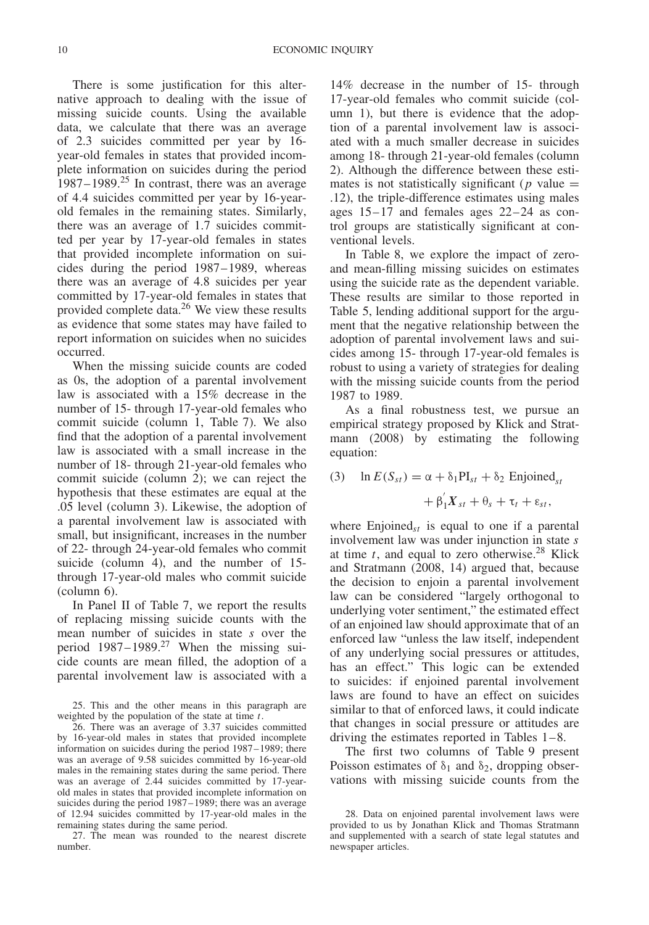There is some justification for this alternative approach to dealing with the issue of missing suicide counts. Using the available data, we calculate that there was an average of 2.3 suicides committed per year by 16 year-old females in states that provided incomplete information on suicides during the period 1987–1989.<sup>25</sup> In contrast, there was an average of 4.4 suicides committed per year by 16-yearold females in the remaining states. Similarly, there was an average of 1.7 suicides committed per year by 17-year-old females in states that provided incomplete information on suicides during the period 1987–1989, whereas there was an average of 4.8 suicides per year committed by 17-year-old females in states that provided complete data.26 We view these results as evidence that some states may have failed to report information on suicides when no suicides occurred.

When the missing suicide counts are coded as 0s, the adoption of a parental involvement law is associated with a 15% decrease in the number of 15- through 17-year-old females who commit suicide (column 1, Table 7). We also find that the adoption of a parental involvement law is associated with a small increase in the number of 18- through 21-year-old females who commit suicide (column 2); we can reject the hypothesis that these estimates are equal at the .05 level (column 3). Likewise, the adoption of a parental involvement law is associated with small, but insignificant, increases in the number of 22- through 24-year-old females who commit suicide (column 4), and the number of 15 through 17-year-old males who commit suicide (column 6).

In Panel II of Table 7, we report the results of replacing missing suicide counts with the mean number of suicides in state *s* over the period  $1987-1989$ .<sup>27</sup> When the missing suicide counts are mean filled, the adoption of a parental involvement law is associated with a

25. This and the other means in this paragraph are weighted by the population of the state at time *t*.

26. There was an average of 3.37 suicides committed by 16-year-old males in states that provided incomplete information on suicides during the period 1987–1989; there was an average of 9.58 suicides committed by 16-year-old males in the remaining states during the same period. There was an average of 2.44 suicides committed by 17-yearold males in states that provided incomplete information on suicides during the period 1987–1989; there was an average of 12.94 suicides committed by 17-year-old males in the remaining states during the same period.

27. The mean was rounded to the nearest discrete number.

14% decrease in the number of 15- through 17-year-old females who commit suicide (column 1), but there is evidence that the adoption of a parental involvement law is associated with a much smaller decrease in suicides among 18- through 21-year-old females (column 2). Although the difference between these estimates is not statistically significant ( $p$  value  $=$ .12), the triple-difference estimates using males ages 15–17 and females ages 22–24 as control groups are statistically significant at conventional levels.

In Table 8, we explore the impact of zeroand mean-filling missing suicides on estimates using the suicide rate as the dependent variable. These results are similar to those reported in Table 5, lending additional support for the argument that the negative relationship between the adoption of parental involvement laws and suicides among 15- through 17-year-old females is robust to using a variety of strategies for dealing with the missing suicide counts from the period 1987 to 1989.

As a final robustness test, we pursue an empirical strategy proposed by Klick and Stratmann (2008) by estimating the following equation:

(3) 
$$
\ln E(S_{st}) = \alpha + \delta_1 PI_{st} + \delta_2
$$
 Enjoined<sub>st</sub>

$$
+\beta_1'X_{st}+\theta_s+\tau_t+\varepsilon_{st},
$$

where  ${\rm{Enjoined}_{st}}$  is equal to one if a parental involvement law was under injunction in state *s* at time  $t$ , and equal to zero otherwise.<sup>28</sup> Klick and Stratmann (2008, 14) argued that, because the decision to enjoin a parental involvement law can be considered "largely orthogonal to underlying voter sentiment," the estimated effect of an enjoined law should approximate that of an enforced law "unless the law itself, independent of any underlying social pressures or attitudes, has an effect." This logic can be extended to suicides: if enjoined parental involvement laws are found to have an effect on suicides similar to that of enforced laws, it could indicate that changes in social pressure or attitudes are driving the estimates reported in Tables 1–8.

The first two columns of Table 9 present Poisson estimates of  $\delta_1$  and  $\delta_2$ , dropping observations with missing suicide counts from the

<sup>28.</sup> Data on enjoined parental involvement laws were provided to us by Jonathan Klick and Thomas Stratmann and supplemented with a search of state legal statutes and newspaper articles.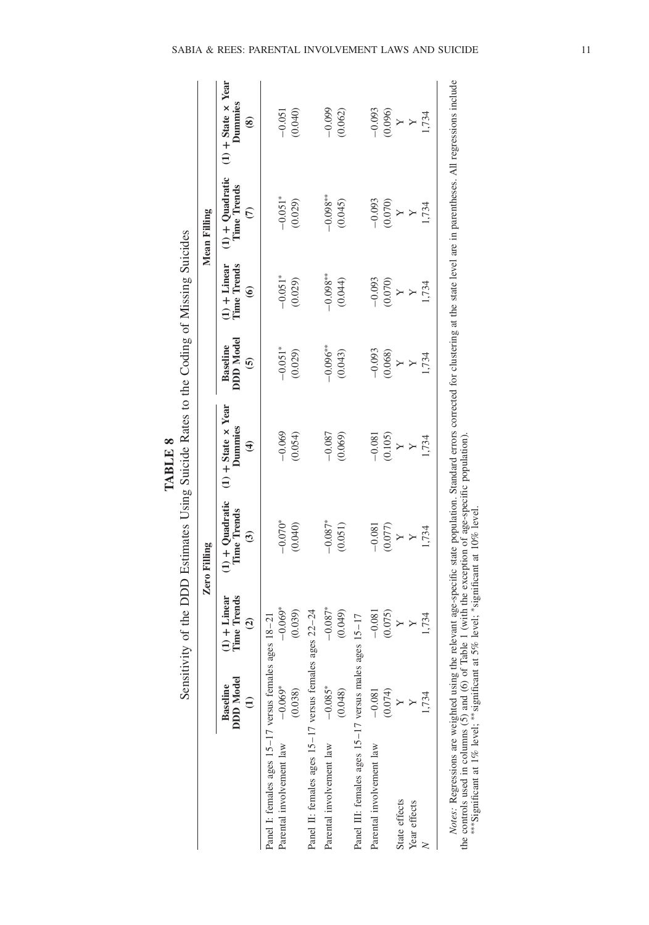| <b>ALL POPPER FIGHT</b><br>٦ |
|------------------------------|
|------------------------------|

|                                                                                   |                                               |                                                | <b>Zero Filling</b>                                                 |                                                                  |                                                |                                                       | Mean Filling                                                    |                                                  |
|-----------------------------------------------------------------------------------|-----------------------------------------------|------------------------------------------------|---------------------------------------------------------------------|------------------------------------------------------------------|------------------------------------------------|-------------------------------------------------------|-----------------------------------------------------------------|--------------------------------------------------|
|                                                                                   | <b>DDD</b> Model<br>Baseline<br>$\widehat{E}$ | Time Trends<br>$(1) +$ Linear<br>$\widehat{c}$ | $(1) +$ Quadratic<br><b>I'ime Trends</b><br>$\widehat{\mathcal{C}}$ | $(1)$ + State $\times$ Year<br>Dummies<br>$\widehat{\mathbf{t}}$ | DDD Model<br><b>Baseline</b><br>$\overline{6}$ | l'ime Trends<br>$(1)$ + Linear<br>$\widehat{\bullet}$ | $(1) +$ Quadratic<br><b>Time Trends</b><br>$\widehat{\epsilon}$ | $(1)$ + State x Year<br>Dummies<br>$\circledast$ |
| Panel I: females ages 15-17 versus females ages 18-21<br>Parental involvement law | $-0.069*$                                     | $-0.069*$                                      | $-0.070*$                                                           | $-0.069$                                                         | $-0.051*$                                      | $-0.051*$                                             | $-0.051*$                                                       | $-0.051$                                         |
|                                                                                   | (0.038)                                       | (0.039)                                        | (0.040)                                                             | (0.054)                                                          | (0.029)                                        | (0.029)                                               | (0.029)                                                         | (0.040)                                          |
| Panel II: females ages 15-17 versus females ages 22-24                            |                                               |                                                |                                                                     |                                                                  |                                                |                                                       |                                                                 |                                                  |
| Parental involvement law                                                          | $-0.085*$                                     | $-0.087*$                                      | $-0.087*$                                                           | $-0.087$                                                         | $-0.096***$                                    | $-0.098**$                                            | $-0.098**$                                                      | $-0.099$                                         |
|                                                                                   | (0.048)                                       | (0.049)                                        | (0.051)                                                             | (0.069)                                                          | (0.043)                                        | (0.044)                                               | (0.045)                                                         | (0.062)                                          |
| Panel III: females ages 15-17 versus males ages 15-17                             |                                               |                                                |                                                                     |                                                                  |                                                |                                                       |                                                                 |                                                  |
| Parental involvement law                                                          | $-0.081$                                      | $-0.081$                                       | $-0.081$                                                            | $-0.081$                                                         | $-0.093$                                       | $-0.093$                                              | $-0.093$                                                        | $-0.093$                                         |
|                                                                                   | $\frac{\Lambda}{\Lambda}$                     | (0.075)                                        | (0.077)                                                             | (0.105)                                                          | (0.068)                                        | (0.070)                                               | $\frac{X}{\Lambda}$                                             | (0.096)                                          |
| State effects                                                                     |                                               | $\triangleright$                               | $\geq$                                                              | $\geq$                                                           | $\geq$                                         | $\geq$                                                |                                                                 | $\geq$                                           |
| Year effects                                                                      |                                               | $\mathsf{Y}$                                   | $\geq$                                                              | $\geq$                                                           | $\blacktriangleright$                          | $\blacktriangleright$                                 | $\mathsf{Y}$                                                    | $\mathsf{Y}$                                     |
|                                                                                   | .734                                          | 1,734                                          | 1,734                                                               | ,734                                                             | 1,734                                          | ,734                                                  | 1,734                                                           | 1,734                                            |

*Notes:* Regressions are weighted using the relevant age-specific state population. Standard errors corrected for clustering at the state level are in parentheses. All regressions include á ĭ<br>⊒ ₹, ्<br>स Notes: Regressions are weighted using the relevant age-specinc state population. Standard errors the controls used in columns (5) and (6) of Table 1 (with the exception of age-specific population). \*\*\* Significant at 1% l the controls used in columns (5) and (6) of Table 1 (with the exception of age-specific population). ∗∗∗Significant at 1% level; ∗∗significant at 5% level; ∗significant at 10% level.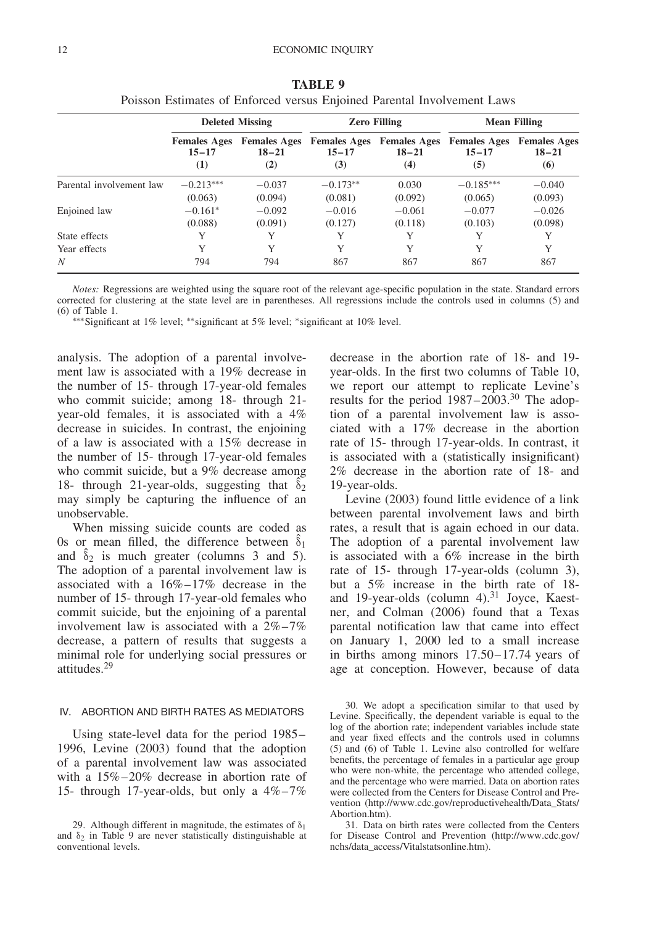|                          |                                         | <b>Deleted Missing</b>                  |                  | <b>Zero Filling</b>                                  |                                         | <b>Mean Filling</b>                     |
|--------------------------|-----------------------------------------|-----------------------------------------|------------------|------------------------------------------------------|-----------------------------------------|-----------------------------------------|
|                          | <b>Females Ages</b><br>$15 - 17$<br>(1) | <b>Females Ages</b><br>$18 - 21$<br>(2) | $15 - 17$<br>(3) | <b>Females Ages</b> Females Ages<br>$18 - 21$<br>(4) | <b>Females Ages</b><br>$15 - 17$<br>(5) | <b>Females Ages</b><br>$18 - 21$<br>(6) |
| Parental involvement law | $-0.213***$                             | $-0.037$                                | $-0.173**$       | 0.030                                                | $-0.185***$                             | $-0.040$                                |
|                          | (0.063)                                 | (0.094)                                 | (0.081)          | (0.092)                                              | (0.065)                                 | (0.093)                                 |
| Enjoined law             | $-0.161*$                               | $-0.092$                                | $-0.016$         | $-0.061$                                             | $-0.077$                                | $-0.026$                                |
|                          | (0.088)                                 | (0.091)                                 | (0.127)          | (0.118)                                              | (0.103)                                 | (0.098)                                 |
| State effects            | Y                                       | Y                                       | Y                | Y                                                    | Y                                       | Y                                       |
| Year effects             | Y                                       | Y                                       | Y                | Y                                                    | Y                                       | Y                                       |
| N                        | 794                                     | 794                                     | 867              | 867                                                  | 867                                     | 867                                     |

**TABLE 9** Poisson Estimates of Enforced versus Enjoined Parental Involvement Laws

∗∗∗Significant at 1% level; ∗∗significant at 5% level; ∗significant at 10% level.

analysis. The adoption of a parental involvement law is associated with a 19% decrease in the number of 15- through 17-year-old females who commit suicide; among 18- through 21 year-old females, it is associated with a 4% decrease in suicides. In contrast, the enjoining of a law is associated with a 15% decrease in the number of 15- through 17-year-old females who commit suicide, but a 9% decrease among 18- through 21-year-olds, suggesting that  $\delta_2$ may simply be capturing the influence of an unobservable.

When missing suicide counts are coded as 0s or mean filled, the difference between  $\hat{\delta}_1$ and  $\hat{\delta}_2$  is much greater (columns 3 and 5). The adoption of a parental involvement law is associated with a 16%–17% decrease in the number of 15- through 17-year-old females who commit suicide, but the enjoining of a parental involvement law is associated with a 2%–7% decrease, a pattern of results that suggests a minimal role for underlying social pressures or attitudes.29

## IV. ABORTION AND BIRTH RATES AS MEDIATORS

Using state-level data for the period 1985– 1996, Levine (2003) found that the adoption of a parental involvement law was associated with a 15%–20% decrease in abortion rate of 15- through 17-year-olds, but only a 4%–7% decrease in the abortion rate of 18- and 19 year-olds. In the first two columns of Table 10, we report our attempt to replicate Levine's results for the period 1987–2003.<sup>30</sup> The adoption of a parental involvement law is associated with a 17% decrease in the abortion rate of 15- through 17-year-olds. In contrast, it is associated with a (statistically insignificant) 2% decrease in the abortion rate of 18- and 19-year-olds.

Levine (2003) found little evidence of a link between parental involvement laws and birth rates, a result that is again echoed in our data. The adoption of a parental involvement law is associated with a 6% increase in the birth rate of 15- through 17-year-olds (column 3), but a 5% increase in the birth rate of 18 and 19-year-olds (column 4).<sup>31</sup> Joyce, Kaestner, and Colman (2006) found that a Texas parental notification law that came into effect on January 1, 2000 led to a small increase in births among minors 17.50–17.74 years of age at conception. However, because of data

<sup>29.</sup> Although different in magnitude, the estimates of  $\delta_1$ and  $\delta_2$  in Table 9 are never statistically distinguishable at conventional levels.

<sup>30.</sup> We adopt a specification similar to that used by Levine. Specifically, the dependent variable is equal to the log of the abortion rate; independent variables include state and year fixed effects and the controls used in columns (5) and (6) of Table 1. Levine also controlled for welfare benefits, the percentage of females in a particular age group who were non-white, the percentage who attended college, and the percentage who were married. Data on abortion rates were collected from the Centers for Disease Control and Prevention (http://www.cdc.gov/reproductivehealth/Data\_Stats/ Abortion.htm).

<sup>31.</sup> Data on birth rates were collected from the Centers for Disease Control and Prevention (http://www.cdc.gov/ nchs/data\_access/Vitalstatsonline.htm).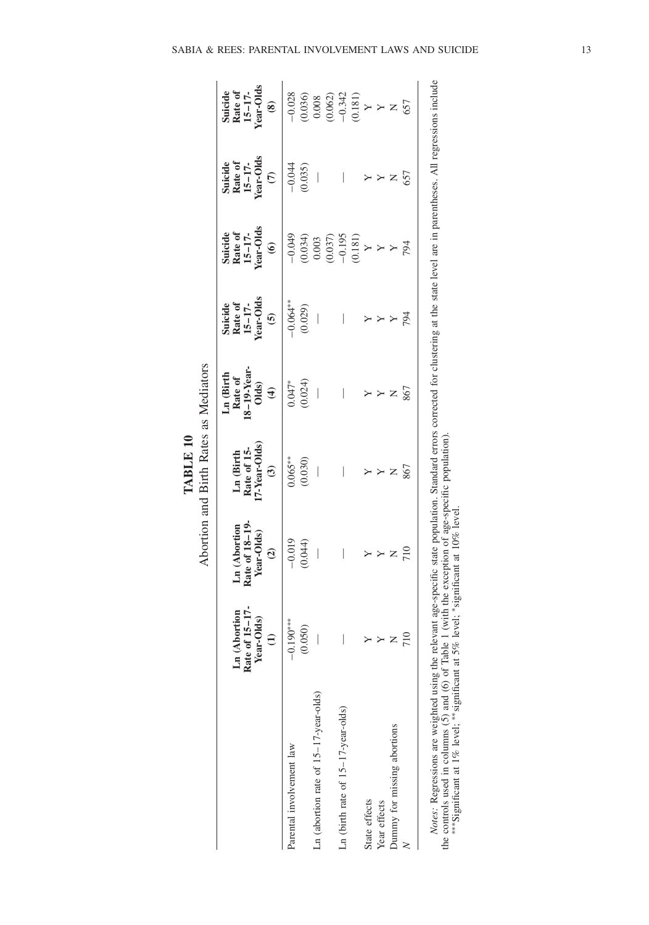|                                            |                                                               |                                                               | Abortion and Birth Rates as Mediators<br>TABLE 10                   |                                                                        |                                                          |                                                      |                                                            |                                                |
|--------------------------------------------|---------------------------------------------------------------|---------------------------------------------------------------|---------------------------------------------------------------------|------------------------------------------------------------------------|----------------------------------------------------------|------------------------------------------------------|------------------------------------------------------------|------------------------------------------------|
|                                            | Rate of 15-17-<br>Ln (Abortion<br>Year-Olds)<br>$\widehat{E}$ | Rate of 18-19-<br>Ln (Abortion<br>Year-Olds)<br>$\widehat{c}$ | 7-Year-Olds)<br>Ln (Birth<br>Rate of 15-<br>$\widehat{\mathcal{E}}$ | Ln (Birth<br>Rate of<br>18–19-Year-<br>Olds)<br>$\widehat{\mathbf{t}}$ | Suicide<br>Rate of<br>15–17-<br>Year-Olds<br>$\tilde{6}$ | Suicide<br>Rate of<br>15–17-<br>Year-Olds<br>$\odot$ | Suicide<br>Rate of<br>15–17-<br>Year-Olds<br>$\widehat{c}$ | Suicide<br>Rate of<br>15–17-<br>Year-Olds<br>3 |
| Parental involvement law                   | $190***$<br>ု                                                 | $-0.019$                                                      | $0.065***$                                                          | $0.047*$                                                               | $-0.064**$                                               | $-0.049$                                             | $-0.044$                                                   | $-0.028$                                       |
|                                            | 0.50                                                          | (0.044)                                                       | (0.030)                                                             | (0.024)                                                                | (0.029)                                                  | $(0.034)$<br>0.003                                   | (0.035)                                                    | (0.036)                                        |
| $Ln$ (abortion rate of $15-17$ -year-olds) | I                                                             | $\bigg $                                                      | $\begin{array}{c} \end{array}$                                      | $\begin{array}{c} \end{array}$                                         | $\begin{array}{c} \end{array}$                           |                                                      | $\bigg $                                                   | 0.008                                          |
|                                            |                                                               |                                                               |                                                                     |                                                                        |                                                          | (0.037)                                              |                                                            | (0.062)                                        |
| Ln (birth rate of $15-17$ -year-olds)      |                                                               |                                                               |                                                                     |                                                                        |                                                          | $-0.195$                                             |                                                            | $-0.342$                                       |
|                                            |                                                               |                                                               |                                                                     |                                                                        |                                                          | (0.181)                                              |                                                            | (0.181)                                        |
| State effects                              |                                                               |                                                               |                                                                     |                                                                        |                                                          |                                                      |                                                            |                                                |
| Year effects                               | Y                                                             |                                                               |                                                                     | Y                                                                      |                                                          | $\triangleright$                                     |                                                            | $\triangleright \triangleright z$              |
| Dummy for missing abortions                | Z                                                             | Z                                                             | Z                                                                   | Z                                                                      |                                                          |                                                      | Z                                                          |                                                |
|                                            | 710                                                           | 710                                                           | 867                                                                 | 867                                                                    | 794                                                      | 794                                                  | 657                                                        | 657                                            |

| ¢<br>ì<br>anan<br>$\overline{\phantom{a}}$<br>$rac{1}{2}$<br>j<br>i<br>ŗ<br>J<br>ā<br>$\ddot{\phantom{0}}$<br>d<br>ï<br>$\exists$<br>į<br>hta<br><b>MIR</b><br>20101<br>J | l<br>d<br>able<br>Ì<br>م<br>م<br>í<br>lumms <sub>1</sub> | $\ddot{\phantom{0}}$<br>$\overline{a}$<br>į<br>$\ddot{\phantom{0}}$<br>50%<br>Ì<br>$\sim$<br>Ĵ<br>$\alpha$<br>֧֦֧֦֦֧֦֦֦֧֦֧֧֦֧֦֧֧֦֧֧֧֪֪֪֦֧֦֧֪֪֪֪֪֪֪֪֚֚֞֝֬֝֬֝֬֓֓֡֝֬֓֓֬֝֬֓֝֬֓֟֓֓֬֓֓֡֬֓֓֓֓֓֓֝֬֓֬֓֓֞֬֓<br>ĭ |
|---------------------------------------------------------------------------------------------------------------------------------------------------------------------------|----------------------------------------------------------|--------------------------------------------------------------------------------------------------------------------------------------------------------------------------------------------------------|
| Acrace<br>$\ddot{\phantom{0}}$<br>i                                                                                                                                       | $\sim$ $\sim$<br>"ha controle near"                      | <sup>Significant</sup> at .                                                                                                                                                                            |

SABIA & REES: PARENTAL INVOLVEMENT LAWS AND SUICIDE 13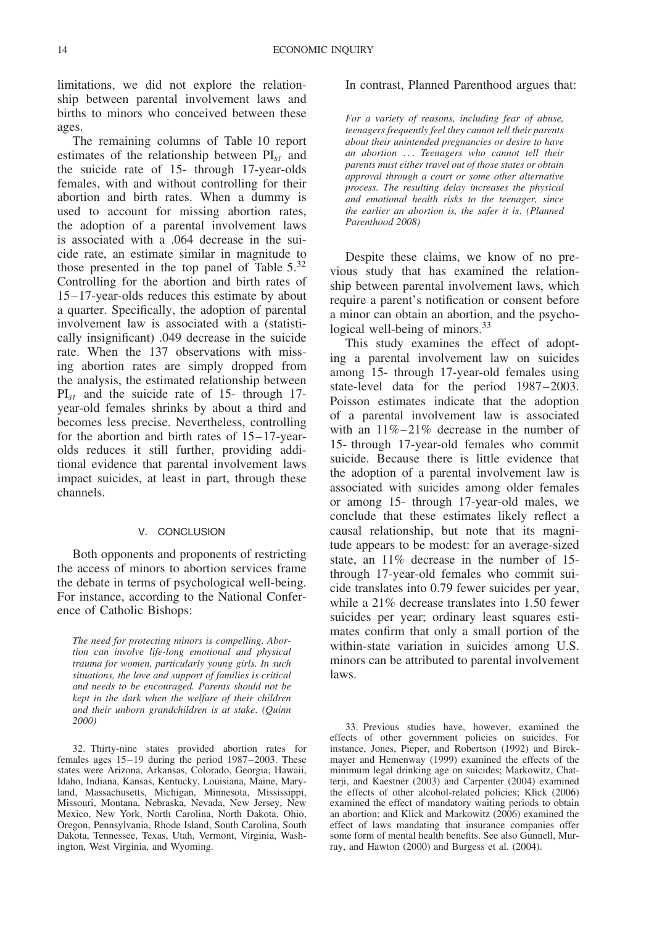limitations, we did not explore the relationship between parental involvement laws and births to minors who conceived between these ages.

The remaining columns of Table 10 report estimates of the relationship between PI*st* and the suicide rate of 15- through 17-year-olds females, with and without controlling for their abortion and birth rates. When a dummy is used to account for missing abortion rates, the adoption of a parental involvement laws is associated with a .064 decrease in the suicide rate, an estimate similar in magnitude to those presented in the top panel of Table 5.<sup>32</sup> Controlling for the abortion and birth rates of 15–17-year-olds reduces this estimate by about a quarter. Specifically, the adoption of parental involvement law is associated with a (statistically insignificant) .049 decrease in the suicide rate. When the 137 observations with missing abortion rates are simply dropped from the analysis, the estimated relationship between PI*st* and the suicide rate of 15- through 17 year-old females shrinks by about a third and becomes less precise. Nevertheless, controlling for the abortion and birth rates of 15–17-yearolds reduces it still further, providing additional evidence that parental involvement laws impact suicides, at least in part, through these channels.

#### V. CONCLUSION

Both opponents and proponents of restricting the access of minors to abortion services frame the debate in terms of psychological well-being. For instance, according to the National Conference of Catholic Bishops:

*The need for protecting minors is compelling. Abortion can involve life-long emotional and physical trauma for women, particularly young girls. In such situations, the love and support of families is critical and needs to be encouraged. Parents should not be kept in the dark when the welfare of their children and their unborn grandchildren is at stake*. *(Quinn 2000)*

32. Thirty-nine states provided abortion rates for females ages 15–19 during the period 1987–2003. These states were Arizona, Arkansas, Colorado, Georgia, Hawaii, Idaho, Indiana, Kansas, Kentucky, Louisiana, Maine, Maryland, Massachusetts, Michigan, Minnesota, Mississippi, Missouri, Montana, Nebraska, Nevada, New Jersey, New Mexico, New York, North Carolina, North Dakota, Ohio, Oregon, Pennsylvania, Rhode Island, South Carolina, South Dakota, Tennessee, Texas, Utah, Vermont, Virginia, Washington, West Virginia, and Wyoming.

#### In contrast, Planned Parenthood argues that:

*For a variety of reasons, including fear of abuse, teenagers frequently feel they cannot tell their parents about their unintended pregnancies or desire to have an abortion ... Teenagers who cannot tell their parents must either travel out of those states or obtain approval through a court or some other alternative process. The resulting delay increases the physical and emotional health risks to the teenager, since the earlier an abortion is, the safer it is*. *(Planned Parenthood 2008)*

Despite these claims, we know of no previous study that has examined the relationship between parental involvement laws, which require a parent's notification or consent before a minor can obtain an abortion, and the psychological well-being of minors. $33$ 

This study examines the effect of adopting a parental involvement law on suicides among 15- through 17-year-old females using state-level data for the period 1987–2003. Poisson estimates indicate that the adoption of a parental involvement law is associated with an 11%–21% decrease in the number of 15- through 17-year-old females who commit suicide. Because there is little evidence that the adoption of a parental involvement law is associated with suicides among older females or among 15- through 17-year-old males, we conclude that these estimates likely reflect a causal relationship, but note that its magnitude appears to be modest: for an average-sized state, an 11% decrease in the number of 15 through 17-year-old females who commit suicide translates into 0.79 fewer suicides per year, while a 21% decrease translates into 1.50 fewer suicides per year; ordinary least squares estimates confirm that only a small portion of the within-state variation in suicides among U.S. minors can be attributed to parental involvement laws.

33. Previous studies have, however, examined the effects of other government policies on suicides. For instance, Jones, Pieper, and Robertson (1992) and Birckmayer and Hemenway (1999) examined the effects of the minimum legal drinking age on suicides; Markowitz, Chatterji, and Kaestner (2003) and Carpenter (2004) examined the effects of other alcohol-related policies; Klick (2006) examined the effect of mandatory waiting periods to obtain an abortion; and Klick and Markowitz (2006) examined the effect of laws mandating that insurance companies offer some form of mental health benefits. See also Gunnell, Murray, and Hawton (2000) and Burgess et al. (2004).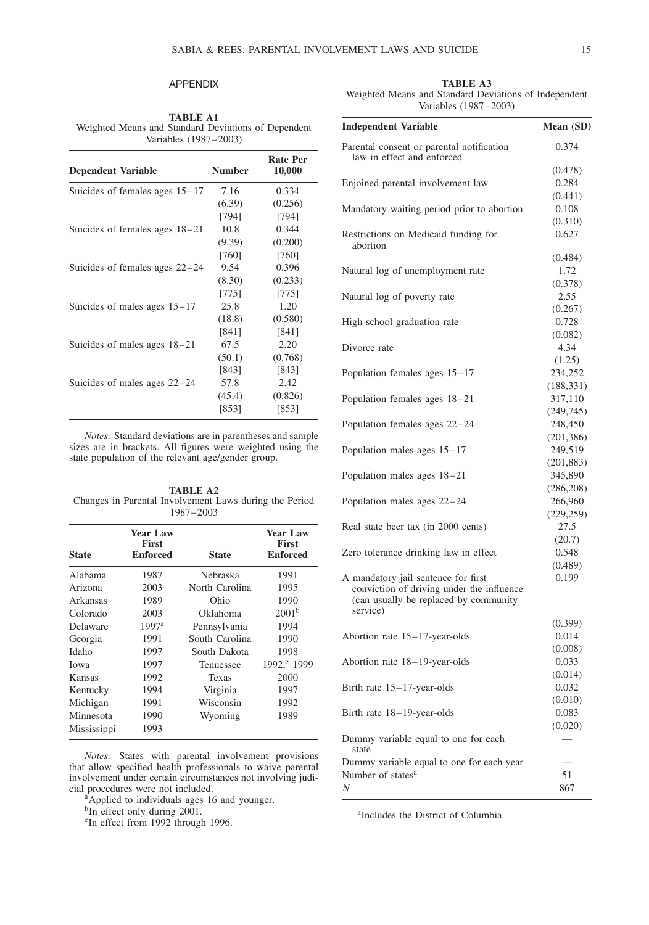## APPENDIX

**TABLE A1** Weighted Means and Standard Deviations of Dependent Variables (1987–2003)

| <b>Dependent Variable</b>        | <b>Number</b> | <b>Rate Per</b><br>10,000 |
|----------------------------------|---------------|---------------------------|
| Suicides of females ages $15-17$ | 7.16          | 0.334                     |
|                                  | (6.39)        | (0.256)                   |
|                                  | [794]         | [794]                     |
| Suicides of females ages $18-21$ | 10.8          | 0.344                     |
|                                  | (9.39)        | (0.200)                   |
|                                  | [760]         | [760]                     |
| Suicides of females ages $22-24$ | 9.54          | 0.396                     |
|                                  | (8.30)        | (0.233)                   |
|                                  | [775]         | [775]                     |
| Suicides of males ages $15-17$   | 25.8          | 1.20                      |
|                                  | (18.8)        | (0.580)                   |
|                                  | [841]         | [841]                     |
| Suicides of males ages $18-21$   | 67.5          | 2.20                      |
|                                  | (50.1)        | (0.768)                   |
|                                  | [843]         | [843]                     |
| Suicides of males ages $22-24$   | 57.8          | 2.42                      |
|                                  | (45.4)        | (0.826)                   |
|                                  | [853]         | [853]                     |
|                                  |               |                           |

*Notes:* Standard deviations are in parentheses and sample sizes are in brackets. All figures were weighted using the state population of the relevant age/gender group.

**TABLE A2** Changes in Parental Involvement Laws during the Period 1987–2003

| <b>Year Law</b><br><b>First</b><br><b>Enforced</b> | <b>State</b>   | <b>Year Law</b><br><b>First</b><br><b>Enforced</b> |
|----------------------------------------------------|----------------|----------------------------------------------------|
| 1987                                               | Nebraska       | 1991                                               |
| 2003                                               | North Carolina | 1995                                               |
| 1989                                               | Ohio           | 1990                                               |
| 2003                                               | Oklahoma       | 2001 <sup>b</sup>                                  |
| 1997 <sup>a</sup>                                  | Pennsylvania   | 1994                                               |
| 1991                                               | South Carolina | 1990                                               |
| 1997                                               | South Dakota   | 1998                                               |
| 1997                                               | Tennessee      | 1992, <sup>c</sup> 1999                            |
| 1992                                               | Texas          | 2000                                               |
| 1994                                               | Virginia       | 1997                                               |
| 1991                                               | Wisconsin      | 1992                                               |
| 1990                                               | Wyoming        | 1989                                               |
| 1993                                               |                |                                                    |
|                                                    |                |                                                    |

*Notes:* States with parental involvement provisions that allow specified health professionals to waive parental involvement under certain circumstances not involving judi-<br>cial procedures were not included.

<sup>a</sup>Applied to individuals ages 16 and younger.

<sup>b</sup>In effect only during 2001.

<sup>c</sup>In effect from 1992 through 1996.

**TABLE A3** Weighted Means and Standard Deviations of Independent Variables (1987–2003)

| <b>Independent Variable</b>                                                                                               | Mean (SD)  |
|---------------------------------------------------------------------------------------------------------------------------|------------|
| Parental consent or parental notification<br>law in effect and enforced                                                   | 0.374      |
|                                                                                                                           | (0.478)    |
| Enjoined parental involvement law                                                                                         | 0.284      |
|                                                                                                                           | (0.441)    |
| Mandatory waiting period prior to abortion                                                                                | 0.108      |
|                                                                                                                           | (0.310)    |
| Restrictions on Medicaid funding for<br>abortion                                                                          | 0.627      |
|                                                                                                                           | (0.484)    |
| Natural log of unemployment rate                                                                                          | 1.72       |
|                                                                                                                           | (0.378)    |
| Natural log of poverty rate                                                                                               | 2.55       |
|                                                                                                                           | (0.267)    |
| High school graduation rate                                                                                               | 0.728      |
|                                                                                                                           | (0.082)    |
| Divorce rate                                                                                                              | 4.34       |
|                                                                                                                           | (1.25)     |
| Population females ages $15-17$                                                                                           | 234,252    |
|                                                                                                                           | (188, 331) |
| Population females ages 18–21                                                                                             | 317,110    |
|                                                                                                                           | (249, 745) |
| Population females ages 22-24                                                                                             | 248,450    |
|                                                                                                                           | (201, 386) |
| Population males ages $15-17$                                                                                             | 249,519    |
|                                                                                                                           | (201, 883) |
| Population males ages 18–21                                                                                               | 345,890    |
|                                                                                                                           | (286, 208) |
| Population males ages 22–24                                                                                               | 266,960    |
|                                                                                                                           | (229, 259) |
| Real state beer tax (in 2000 cents)                                                                                       | 27.5       |
|                                                                                                                           | (20.7)     |
| Zero tolerance drinking law in effect                                                                                     | 0.548      |
|                                                                                                                           | (0.489)    |
| A mandatory jail sentence for first<br>conviction of driving under the influence<br>(can usually be replaced by community | 0.199      |
| service)                                                                                                                  |            |
|                                                                                                                           | (0.399)    |
| Abortion rate $15-17$ -year-olds                                                                                          | 0.014      |
|                                                                                                                           | (0.008)    |
| Abortion rate 18-19-year-olds                                                                                             | 0.033      |
|                                                                                                                           | (0.014)    |
| Birth rate 15-17-year-olds                                                                                                | 0.032      |
|                                                                                                                           | (0.010)    |
| Birth rate 18–19-year-olds                                                                                                | 0.083      |
|                                                                                                                           | (0.020)    |
| Dummy variable equal to one for each<br>state                                                                             |            |
| Dummy variable equal to one for each year                                                                                 |            |
| Number of states <sup>a</sup>                                                                                             | 51         |
| Ν                                                                                                                         | 867        |

<sup>a</sup>Includes the District of Columbia.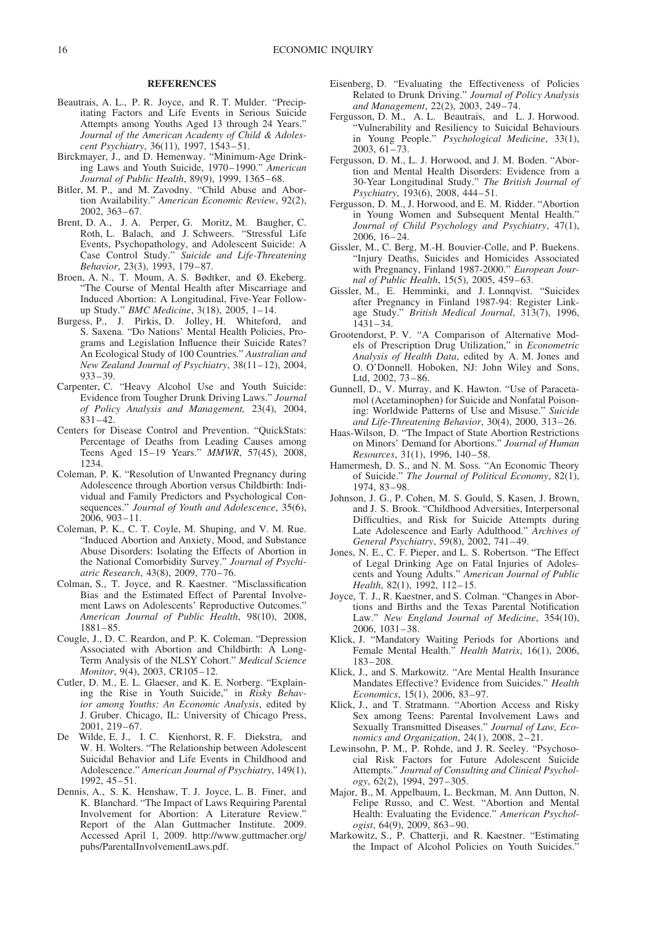#### **REFERENCES**

- Beautrais, A. L., P. R. Joyce, and R. T. Mulder. "Precipitating Factors and Life Events in Serious Suicide Attempts among Youths Aged 13 through 24 Years." *Journal of the American Academy of Child & Adolescent Psychiatry*, 36(11), 1997, 1543–51.
- Birckmayer, J., and D. Hemenway. "Minimum-Age Drinking Laws and Youth Suicide, 1970–1990." *American Journal of Public Health*, 89(9), 1999, 1365–68.
- Bitler, M. P., and M. Zavodny. "Child Abuse and Abortion Availability." *American Economic Review*, 92(2), 2002, 363–67.
- Brent, D. A., J. A. Perper, G. Moritz, M. Baugher, C. Roth, L. Balach, and J. Schweers. "Stressful Life Events, Psychopathology, and Adolescent Suicide: A Case Control Study." *Suicide and Life-Threatening Behavior*, 23(3), 1993, 179–87.
- Broen, A. N., T. Moum, A. S. Bødtker, and Ø. Ekeberg. "The Course of Mental Health after Miscarriage and Induced Abortion: A Longitudinal, Five-Year Followup Study." *BMC Medicine*, 3(18), 2005, 1–14.
- Burgess, P., J. Pirkis, D. Jolley, H. Whiteford, and S. Saxena. "Do Nations' Mental Health Policies, Programs and Legislation Influence their Suicide Rates? An Ecological Study of 100 Countries." *Australian and New Zealand Journal of Psychiatry*, 38(11–12), 2004, 933–39.
- Carpenter, C. "Heavy Alcohol Use and Youth Suicide: Evidence from Tougher Drunk Driving Laws." *Journal of Policy Analysis and Management,* 23(4), 2004, 831–42.
- Centers for Disease Control and Prevention. "QuickStats: Percentage of Deaths from Leading Causes among Teens Aged 15–19 Years." *MMWR*, 57(45), 2008, 1234.
- Coleman, P. K. "Resolution of Unwanted Pregnancy during Adolescence through Abortion versus Childbirth: Individual and Family Predictors and Psychological Consequences." *Journal of Youth and Adolescence*, 35(6), 2006, 903–11.
- Coleman, P. K., C. T. Coyle, M. Shuping, and V. M. Rue. "Induced Abortion and Anxiety, Mood, and Substance Abuse Disorders: Isolating the Effects of Abortion in the National Comorbidity Survey." *Journal of Psychiatric Research*, 43(8), 2009, 770–76.
- Colman, S., T. Joyce, and R. Kaestner. "Misclassification Bias and the Estimated Effect of Parental Involvement Laws on Adolescents' Reproductive Outcomes.' *American Journal of Public Health*, 98(10), 2008, 1881–85.
- Cougle, J., D. C. Reardon, and P. K. Coleman. "Depression Associated with Abortion and Childbirth: A Long-Term Analysis of the NLSY Cohort." *Medical Science Monitor*, 9(4), 2003, CR105–12.
- Cutler, D. M., E. L. Glaeser, and K. E. Norberg. "Explaining the Rise in Youth Suicide," in *Risky Behavior among Youths: An Economic Analysis*, edited by J. Gruber. Chicago, IL: University of Chicago Press, 2001, 219–67.
- De Wilde, E. J., I. C. Kienhorst, R. F. Diekstra, and W. H. Wolters. "The Relationship between Adolescent Suicidal Behavior and Life Events in Childhood and Adolescence." *American Journal of Psychiatry*, 149(1), 1992, 45–51.
- Dennis, A., S. K. Henshaw, T. J. Joyce, L. B. Finer, and K. Blanchard. "The Impact of Laws Requiring Parental Involvement for Abortion: A Literature Review." Report of the Alan Guttmacher Institute. 2009. Accessed April 1, 2009. http://www.guttmacher.org/ pubs/ParentalInvolvementLaws.pdf.
- Eisenberg, D. "Evaluating the Effectiveness of Policies Related to Drunk Driving." *Journal of Policy Analysis and Management*, 22(2), 2003, 249–74.
- Fergusson, D. M., A. L. Beautrais, and L. J. Horwood. "Vulnerability and Resiliency to Suicidal Behaviours in Young People." *Psychological Medicine*, 33(1), 2003, 61–73.
- Fergusson, D. M., L. J. Horwood, and J. M. Boden. "Abortion and Mental Health Disorders: Evidence from a 30-Year Longitudinal Study." *The British Journal of Psychiatry*, 193(6), 2008, 444–51.
- Fergusson, D. M., J. Horwood, and E. M. Ridder. "Abortion in Young Women and Subsequent Mental Health." *Journal of Child Psychology and Psychiatry*, 47(1), 2006, 16–24.
- Gissler, M., C. Berg, M.-H. Bouvier-Colle, and P. Buekens. "Injury Deaths, Suicides and Homicides Associated with Pregnancy, Finland 1987-2000." *European Journal of Public Health*, 15(5), 2005, 459–63.
- Gissler, M., E. Hemminki, and J. Lonnqvist. "Suicides after Pregnancy in Finland 1987-94: Register Linkage Study." *British Medical Journal*, 313(7), 1996, 1431–34.
- Grootendorst, P. V. "A Comparison of Alternative Models of Prescription Drug Utilization," in *Econometric Analysis of Health Data*, edited by A. M. Jones and O. O'Donnell. Hoboken, NJ: John Wiley and Sons, Ltd, 2002, 73–86.
- Gunnell, D., V. Murray, and K. Hawton. "Use of Paracetamol (Acetaminophen) for Suicide and Nonfatal Poisoning: Worldwide Patterns of Use and Misuse." *Suicide and Life-Threatening Behavior*, 30(4), 2000, 313–26.
- Haas-Wilson, D. "The Impact of State Abortion Restrictions on Minors' Demand for Abortions." *Journal of Human Resources*, 31(1), 1996, 140–58.
- Hamermesh, D. S., and N. M. Soss. "An Economic Theory of Suicide." *The Journal of Political Economy*, 82(1), 1974, 83–98.
- Johnson, J. G., P. Cohen, M. S. Gould, S. Kasen, J. Brown, and J. S. Brook. "Childhood Adversities, Interpersonal Difficulties, and Risk for Suicide Attempts during Late Adolescence and Early Adulthood." *Archives of General Psychiatry*, 59(8), 2002, 741–49.
- Jones, N. E., C. F. Pieper, and L. S. Robertson. "The Effect of Legal Drinking Age on Fatal Injuries of Adolescents and Young Adults." *American Journal of Public Health*, 82(1), 1992, 112–15.
- Joyce, T. J., R. Kaestner, and S. Colman. "Changes in Abortions and Births and the Texas Parental Notification Law." *New England Journal of Medicine*, 354(10), 2006, 1031–38.
- Klick, J. "Mandatory Waiting Periods for Abortions and Female Mental Health." *Health Matrix*, 16(1), 2006, 183–208.
- Klick, J., and S. Markowitz. "Are Mental Health Insurance Mandates Effective? Evidence from Suicides." *Health Economics*, 15(1), 2006, 83–97.
- Klick, J., and T. Stratmann. "Abortion Access and Risky Sex among Teens: Parental Involvement Laws and Sexually Transmitted Diseases." *Journal of Law, Economics and Organization*, 24(1), 2008, 2–21.
- Lewinsohn, P. M., P. Rohde, and J. R. Seeley. "Psychosocial Risk Factors for Future Adolescent Suicide Attempts." *Journal of Consulting and Clinical Psychology*, 62(2), 1994, 297–305.
- Major, B., M. Appelbaum, L. Beckman, M. Ann Dutton, N. Felipe Russo, and C. West. "Abortion and Mental Health: Evaluating the Evidence." *American Psychologist*, 64(9), 2009, 863–90.
- Markowitz, S., P. Chatterji, and R. Kaestner. "Estimating the Impact of Alcohol Policies on Youth Suicides.